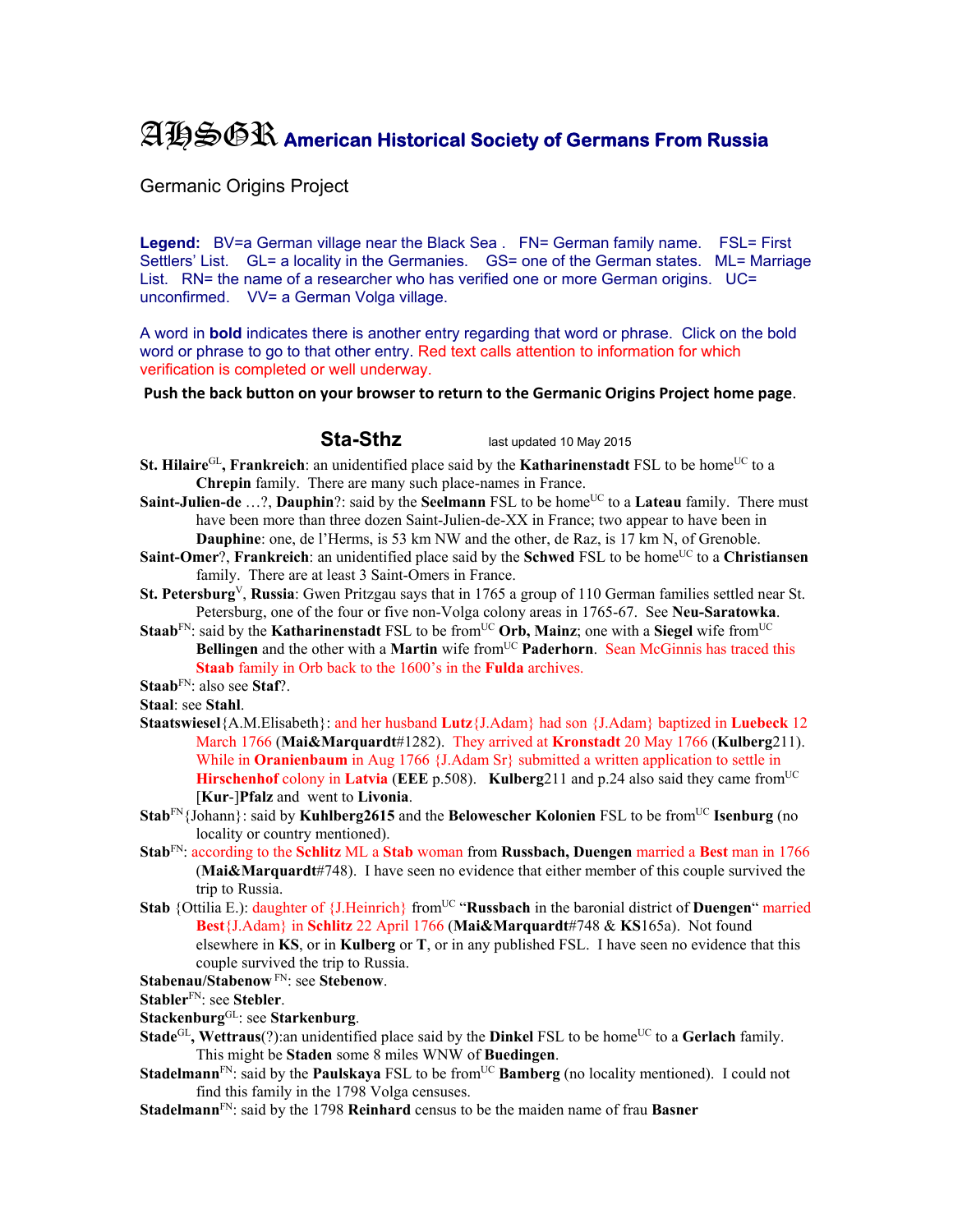## AHSGR **American Historical Society of Germans From Russia**

Germanic Origins Project

Legend: BV=a German village near the Black Sea . FN= German family name. FSL= First Settlers' List. GL= a locality in the Germanies. GS= one of the German states. ML= Marriage List. RN= the name of a researcher who has verified one or more German origins. UC= unconfirmed. VV= a German Volga village.

A word in **bold** indicates there is another entry regarding that word or phrase. Click on the bold word or phrase to go to that other entry. Red text calls attention to information for which verification is completed or well underway.

**Push the back button on your browser to return to the Germanic Origins Project home page**.

**Sta-Sthz** last updated 10 May 2015

- **St. Hilaire**<sup>GL</sup>, Frankreich: an unidentified place said by the **Katharinenstadt** FSL to be home<sup>UC</sup> to a **Chrepin** family. There are many such place-names in France.
- **Saint-Julien-de** ...?, **Dauphin**?: said by the **Seelmann** FSL to be home<sup>UC</sup> to a **Lateau** family. There must have been more than three dozen Saint-Julien-de-XX in France; two appear to have been in **Dauphine**: one, de l'Herms, is 53 km NW and the other, de Raz, is 17 km N, of Grenoble.
- **Saint-Omer?, Frankreich:** an unidentified place said by the **Schwed** FSL to be home<sup>UC</sup> to a **Christiansen** family. There are at least 3 Saint-Omers in France.
- **St. Petersburg**V, **Russia**: Gwen Pritzgau says that in 1765 a group of 110 German families settled near St. Petersburg, one of the four or five non-Volga colony areas in 1765-67. See **Neu-Saratowka**.
- **Staab**<sup>FN</sup>: said by the **Katharinenstadt** FSL to be from<sup>UC</sup> Orb, Mainz; one with a Siegel wife from<sup>UC</sup> **Bellingen** and the other with a **Martin** wife from<sup>UC</sup> Paderhorn. Sean McGinnis has traced this **Staab** family in Orb back to the 1600's in the **Fulda** archives.

**Staab**FN: also see **Staf**?.

**Staal**: see **Stahl**.

- **Staatswiesel**{A.M.Elisabeth}: and her husband **Lutz**{J.Adam} had son {J.Adam} baptized in **Luebeck** 12 March 1766 (**Mai&Marquardt**#1282). They arrived at **Kronstadt** 20 May 1766 (**Kulberg**211). While in **Oranienbaum** in Aug 1766 {J.Adam Sr} submitted a written application to settle in **Hirschenhof** colony in **Latvia** (**EEE** p.508). **Kulberg**211 and p.24 also said they came from<sup>UC</sup> [**Kur**-]**Pfalz** and went to **Livonia**.
- **Stab**<sup>FN</sup>{Johann}: said by **Kuhlberg2615** and the **Belowescher Kolonien** FSL to be from<sup>UC</sup> **Isenburg** (no locality or country mentioned).
- **Stab**FN: according to the **Schlitz** ML a **Stab** woman from **Russbach, Duengen** married a **Best** man in 1766 (**Mai&Marquardt**#748). I have seen no evidence that either member of this couple survived the trip to Russia.
- **Stab** {Ottilia E.): daughter of {J.Heinrich} from<sup>UC</sup> "**Russbach** in the baronial district of **Duengen**" married **Best**{J.Adam} in **Schlitz** 22 April 1766 (**Mai&Marquardt**#748 & **KS**165a). Not found elsewhere in **KS**, or in **Kulberg** or **T**, or in any published FSL. I have seen no evidence that this couple survived the trip to Russia.
- **Stabenau/Stabenow** FN: see **Stebenow**.

**Stabler**FN: see **Stebler**.

- **Stackenburg**GL: see **Starkenburg**.
- **Stade**<sup>GL</sup>, Wettraus(?):an unidentified place said by the **Dinkel** FSL to be home<sup>UC</sup> to a **Gerlach** family. This might be **Staden** some 8 miles WNW of **Buedingen**.
- **Stadelmann<sup>FN</sup>:** said by the **Paulskaya** FSL to be from<sup>UC</sup> **Bamberg** (no locality mentioned). I could not find this family in the 1798 Volga censuses.
- **Stadelmann**FN: said by the 1798 **Reinhard** census to be the maiden name of frau **Basner**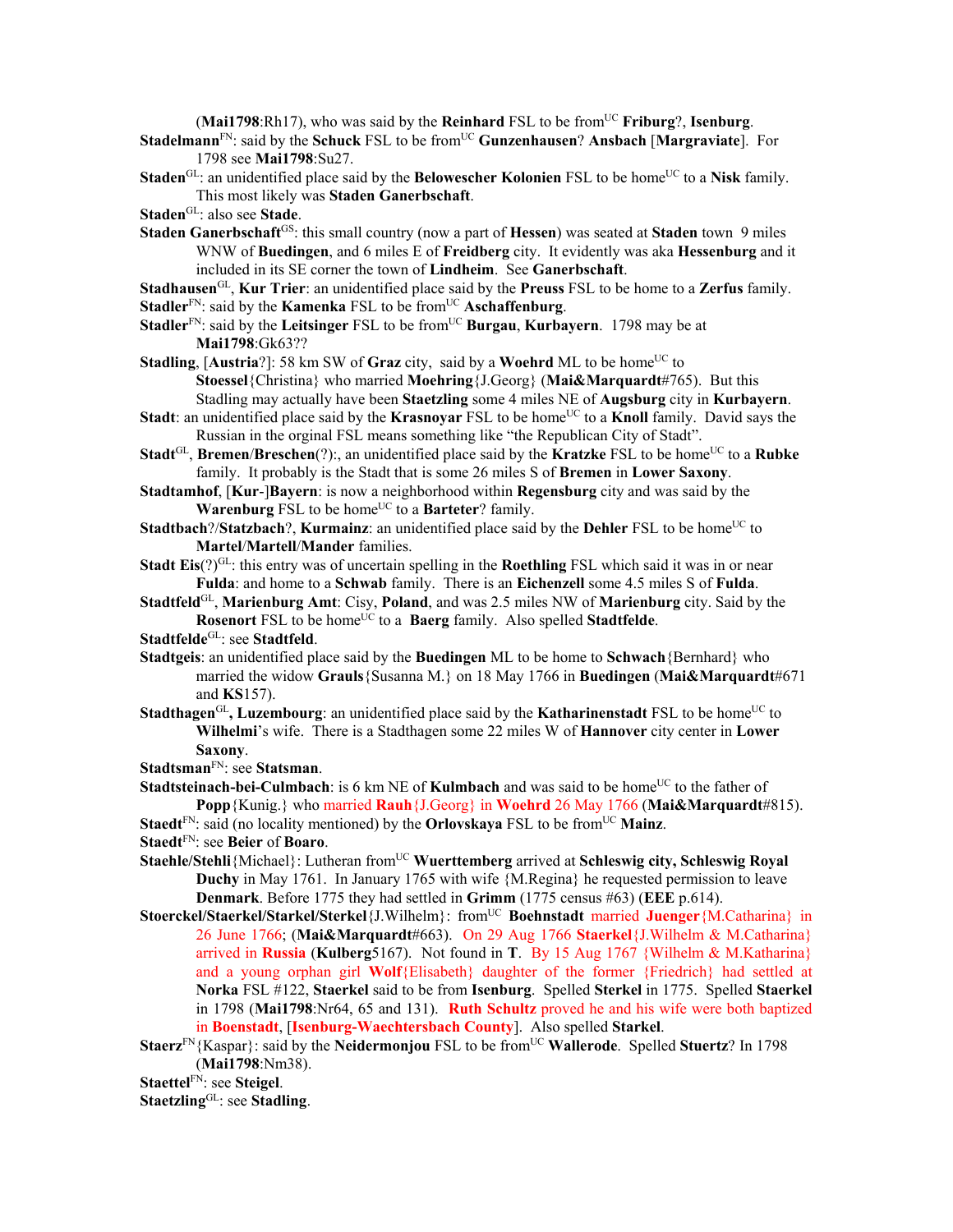(**Mai1798**:Rh17), who was said by the **Reinhard** FSL to be fromUC **Friburg**?, **Isenburg**.

**Stadelmann**FN: said by the **Schuck** FSL to be fromUC **Gunzenhausen**? **Ansbach** [**Margraviate**]. For 1798 see **Mai1798**:Su27.

**Staden**<sup>GL</sup>: an unidentified place said by the **Belowescher Kolonien** FSL to be home<sup>UC</sup> to a Nisk family. This most likely was **Staden Ganerbschaft**.

**Staden**GL: also see **Stade**.

**Staden Ganerbschaft**<sup>GS</sup>: this small country (now a part of **Hessen**) was seated at **Staden** town 9 miles WNW of **Buedingen**, and 6 miles E of **Freidberg** city. It evidently was aka **Hessenburg** and it included in its SE corner the town of **Lindheim**. See **Ganerbschaft**.

**Stadhausen**GL, **Kur Trier**: an unidentified place said by the **Preuss** FSL to be home to a **Zerfus** family. **Stadler**<sup>FN</sup>: said by the **Kamenka** FSL to be from<sup>UC</sup> **Aschaffenburg**.

**Stadler**<sup>FN</sup>: said by the **Leitsinger** FSL to be from<sup>UC</sup> **Burgau, Kurbayern**. 1798 may be at **Mai1798**:Gk63??

**Stadling**, [Austria?]: 58 km SW of Graz city, said by a Woehrd ML to be home<sup>UC</sup> to **Stoessel**{Christina} who married **Moehring**{J.Georg} (**Mai&Marquardt**#765). But this Stadling may actually have been **Staetzling** some 4 miles NE of **Augsburg** city in **Kurbayern**.

**Stadt**: an unidentified place said by the **Krasnovar** FSL to be home<sup>UC</sup> to a **Knoll** family. David says the Russian in the orginal FSL means something like "the Republican City of Stadt".

**Stadt**<sup>GL</sup>, **Bremen**/**Breschen**(?):, an unidentified place said by the **Kratzke** FSL to be home<sup>UC</sup> to a **Rubke** family. It probably is the Stadt that is some 26 miles S of **Bremen** in **Lower Saxony**.

**Stadtamhof**, [**Kur**-]**Bayern**: is now a neighborhood within **Regensburg** city and was said by the Warenburg FSL to be home<sup>UC</sup> to a Barteter? family.

**Stadtbach**?/**Statzbach**?, **Kurmainz**: an unidentified place said by the **Dehler** FSL to be home<sup>UC</sup> to **Martel**/**Martell**/**Mander** families.

**Stadt Eis**(?)<sup>GL</sup>: this entry was of uncertain spelling in the **Roethling** FSL which said it was in or near **Fulda**: and home to a **Schwab** family. There is an **Eichenzell** some 4.5 miles S of **Fulda**.

**Stadtfeld**GL, **Marienburg Amt**: Cisy, **Poland**, and was 2.5 miles NW of **Marienburg** city. Said by the **Rosenort** FSL to be home<sup>UC</sup> to a **Baerg** family. Also spelled **Stadtfelde**.

**Stadtfelde**GL: see **Stadtfeld**.

**Stadtgeis**: an unidentified place said by the **Buedingen** ML to be home to **Schwach**{Bernhard} who married the widow **Grauls**{Susanna M.} on 18 May 1766 in **Buedingen** (**Mai&Marquardt**#671 and **KS**157).

**Stadthagen**<sup>GL</sup>, Luzembourg: an unidentified place said by the **Katharinenstadt** FSL to be home<sup>UC</sup> to **Wilhelmi**'s wife. There is a Stadthagen some 22 miles W of **Hannover** city center in **Lower Saxony**.

**Stadtsman**FN: see **Statsman**.

**Stadtsteinach-bei-Culmbach**: is 6 km NE of **Kulmbach** and was said to be home<sup>UC</sup> to the father of **Popp**{Kunig.} who married **Rauh**{J.Georg} in **Woehrd** 26 May 1766 (**Mai&Marquardt**#815).

**Staedt**<sup>FN</sup>: said (no locality mentioned) by the **Orlovskaya** FSL to be from<sup>UC</sup> **Mainz**.

**Staedt**FN: see **Beier** of **Boaro**.

**Staehle/Stehli**{Michael}: Lutheran from<sup>UC</sup> Wuerttemberg arrived at Schleswig city, Schleswig Royal **Duchy** in May 1761. In January 1765 with wife {M.Regina} he requested permission to leave **Denmark**. Before 1775 they had settled in **Grimm** (1775 census #63) (**EEE** p.614).

**Stoerckel/Staerkel/Starkel/Sterkel**{J.Wilhelm}: from<sup>UC</sup> **Boehnstadt** married **Juenger**{M.Catharina} in 26 June 1766; (**Mai&Marquardt**#663). On 29 Aug 1766 **Staerkel**{J.Wilhelm & M.Catharina} arrived in **Russia** (**Kulberg**5167). Not found in **T**. By 15 Aug 1767 {Wilhelm & M.Katharina} and a young orphan girl **Wolf**{Elisabeth} daughter of the former {Friedrich} had settled at **Norka** FSL #122, **Staerkel** said to be from **Isenburg**. Spelled **Sterkel** in 1775. Spelled **Staerkel** in 1798 (**Mai1798**:Nr64, 65 and 131). **Ruth Schultz** proved he and his wife were both baptized in **Boenstadt**, [**Isenburg-Waechtersbach County**]. Also spelled **Starkel**.

**Staerz**FN{Kaspar}: said by the **Neidermonjou** FSL to be fromUC **Wallerode**. Spelled **Stuertz**? In 1798 (**Mai1798**:Nm38).

**Staettel**FN: see **Steigel**.

**Staetzling**GL: see **Stadling**.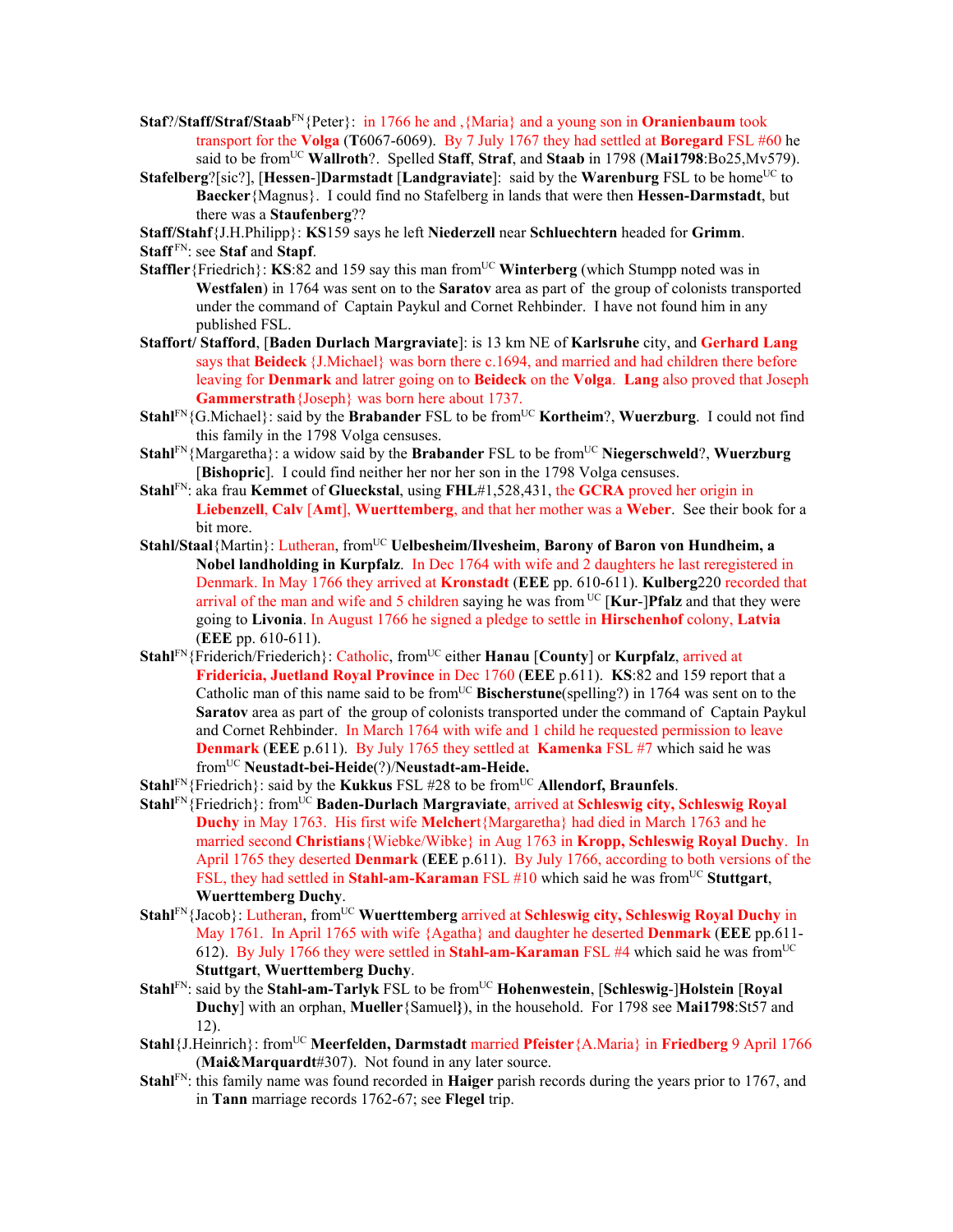- **Staf**?/**Staff/Straf/Staab**FN{Peter}: in 1766 he and ,{Maria} and a young son in **Oranienbaum** took transport for the **Volga** (**T**6067-6069). By 7 July 1767 they had settled at **Boregard** FSL #60 he said to be fromUC **Wallroth**?. Spelled **Staff**, **Straf**, and **Staab** in 1798 (**Mai1798**:Bo25,Mv579).
- **Stafelberg**?[sic?], [**Hessen-**]Darmstadt [Landgraviate]: said by the **Warenburg** FSL to be home<sup>UC</sup> to **Baecker**{Magnus}. I could find no Stafelberg in lands that were then **Hessen-Darmstadt**, but there was a **Staufenberg**??

**Staff/Stahf**{J.H.Philipp}: **KS**159 says he left **Niederzell** near **Schluechtern** headed for **Grimm**.

**Staff** FN: see **Staf** and **Stapf**.

- **Staffler**{Friedrich}: **KS**:82 and 159 say this man from<sup>UC</sup> Winterberg (which Stumpp noted was in **Westfalen**) in 1764 was sent on to the **Saratov** area as part of the group of colonists transported under the command of Captain Paykul and Cornet Rehbinder. I have not found him in any published FSL.
- **Staffort/ Stafford**, [**Baden Durlach Margraviate**]: is 13 km NE of **Karlsruhe** city, and **Gerhard Lang** says that **Beideck** {J.Michael} was born there c.1694, and married and had children there before leaving for **Denmark** and latrer going on to **Beideck** on the **Volga**. **Lang** also proved that Joseph **Gammerstrath**{Joseph} was born here about 1737.
- **Stahl**<sup>FN</sup>{G.Michael}: said by the **Brabander** FSL to be from<sup>UC</sup> **Kortheim**?, **Wuerzburg**. I could not find this family in the 1798 Volga censuses.
- **Stahl**<sup>FN</sup>{Margaretha}: a widow said by the **Brabander** FSL to be from<sup>UC</sup> Niegerschweld?, Wuerzburg [**Bishopric**]. I could find neither her nor her son in the 1798 Volga censuses.
- **Stahl**FN: aka frau **Kemmet** of **Glueckstal**, using **FHL**#1,528,431, the **GCRA** proved her origin in **Liebenzell**, **Calv** [**Amt**], **Wuerttemberg**, and that her mother was a **Weber**. See their book for a bit more.
- **Stahl/Staal**{Martin}: Lutheran, from<sup>UC</sup> **Uelbesheim/Ilvesheim, Barony of Baron von Hundheim, a Nobel landholding in Kurpfalz**. In Dec 1764 with wife and 2 daughters he last reregistered in Denmark. In May 1766 they arrived at **Kronstadt** (**EEE** pp. 610-611). **Kulberg**220 recorded that arrival of the man and wife and 5 children saying he was from <sup>UC</sup> [**Kur-**]**Pfalz** and that they were going to **Livonia**. In August 1766 he signed a pledge to settle in **Hirschenhof** colony, **Latvia** (**EEE** pp. 610-611).
- **Stahl**FN{Friderich/Friederich}: Catholic, fromUC either **Hanau** [**County**] or **Kurpfalz**, arrived at **Fridericia, Juetland Royal Province** in Dec 1760 (**EEE** p.611). **KS**:82 and 159 report that a Catholic man of this name said to be from<sup>UC</sup> Bischerstune(spelling?) in 1764 was sent on to the **Saratov** area as part of the group of colonists transported under the command of Captain Paykul and Cornet Rehbinder. In March 1764 with wife and 1 child he requested permission to leave **Denmark** (**EEE** p.611). By July 1765 they settled at **Kamenka** FSL #7 which said he was fromUC **Neustadt-bei-Heide**(?)/**Neustadt-am-Heide.**
- **Stahl<sup>FN</sup>**{Friedrich}: said by the **Kukkus** FSL #28 to be from<sup>UC</sup> **Allendorf, Braunfels**.
- **Stahl**FN{Friedrich}: fromUC **Baden-Durlach Margraviate**, arrived at **Schleswig city, Schleswig Royal Duchy** in May 1763. His first wife **Melcher**t{Margaretha} had died in March 1763 and he married second **Christians**{Wiebke/Wibke} in Aug 1763 in **Kropp, Schleswig Royal Duchy**. In April 1765 they deserted **Denmark** (**EEE** p.611). By July 1766, according to both versions of the FSL, they had settled in **Stahl-am-Karaman** FSL #10 which said he was from<sup>UC</sup> Stuttgart, **Wuerttemberg Duchy**.
- **Stahl<sup>FN</sup>**{Jacob}: Lutheran, from<sup>UC</sup> Wuerttemberg arrived at Schleswig city, Schleswig Royal Duchy in May 1761. In April 1765 with wife {Agatha} and daughter he deserted **Denmark** (**EEE** pp.611- 612). By July 1766 they were settled in **Stahl-am-Karaman** FSL #4 which said he was fromUC **Stuttgart**, **Wuerttemberg Duchy**.
- **Stahl**<sup>FN</sup>: said by the **Stahl-am-Tarlyk** FSL to be from<sup>UC</sup> **Hohenwestein**, [Schleswig-]Holstein [Royal] **Duchy**] with an orphan, **Mueller**{Samuel**}**), in the household. For 1798 see **Mai1798**:St57 and 12).
- **Stahl**{J.Heinrich}: fromUC **Meerfelden, Darmstadt** married **Pfeister**{A.Maria} in **Friedberg** 9 April 1766 (**Mai&Marquardt**#307). Not found in any later source.
- **Stahl**FN: this family name was found recorded in **Haiger** parish records during the years prior to 1767, and in **Tann** marriage records 1762-67; see **Flegel** trip.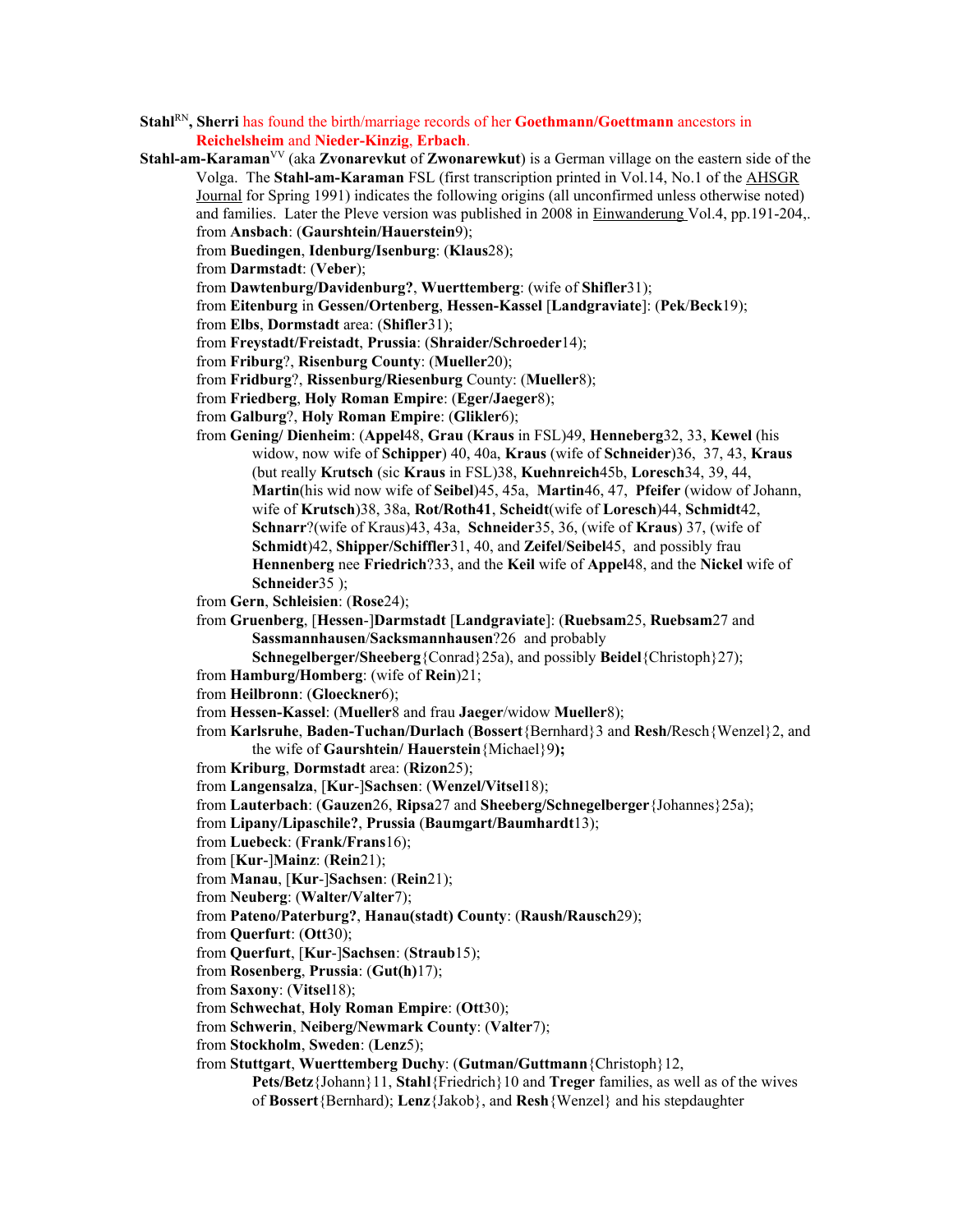- **Stahl**RN**, Sherri** has found the birth/marriage records of her **Goethmann/Goettmann** ancestors in **Reichelsheim** and **Nieder-Kinzig**, **Erbach**.
- **Stahl-am-Karaman**VV (aka **Zvonarevkut** of **Zwonarewkut**) is a German village on the eastern side of the Volga. The **Stahl-am-Karaman** FSL (first transcription printed in Vol.14, No.1 of the AHSGR Journal for Spring 1991) indicates the following origins (all unconfirmed unless otherwise noted) and families. Later the Pleve version was published in 2008 in Einwanderung Vol.4, pp.191-204,. from **Ansbach**: (**Gaurshtein/Hauerstein**9);

from **Buedingen**, **Idenburg/Isenburg**: (**Klaus**28);

from **Darmstadt**: (**Veber**);

from **Dawtenburg/Davidenburg?**, **Wuerttemberg**: (wife of **Shifler**31);

from **Eitenburg** in **Gessen/Ortenberg**, **Hessen-Kassel** [**Landgraviate**]: (**Pek**/**Beck**19);

from **Elbs**, **Dormstadt** area: (**Shifler**31);

from **Freystadt/Freistadt**, **Prussia**: (**Shraider/Schroeder**14);

from **Friburg**?, **Risenburg County**: (**Mueller**20);

from **Fridburg**?, **Rissenburg/Riesenburg** County: (**Mueller**8);

from **Friedberg**, **Holy Roman Empire**: (**Eger/Jaeger**8);

from **Galburg**?, **Holy Roman Empire**: (**Glikler**6);

from **Gening/ Dienheim**: (**Appel**48, **Grau** (**Kraus** in FSL)49, **Henneberg**32, 33, **Kewel** (his widow, now wife of **Schipper**) 40, 40a, **Kraus** (wife of **Schneider**)36, 37, 43, **Kraus**  (but really **K**r**utsch** (sic **Kraus** in FSL)38, **Kuehnreich**45b, **Loresch**34, 39, 44, **Martin**(his wid now wife of **Seibel**)45, 45a, **Martin**46, 47, **Pfeifer** (widow of Johann, wife of **Krutsch**)38, 38a, **Rot/Roth41**, **Scheidt**(wife of **Loresch**)44, **Schmidt**42, **Schnarr**?(wife of Kraus)43, 43a, **Schneider**35, 36, (wife of **Kraus**) 37, (wife of **Schmidt**)42, **Shipper/Schiffler**31, 40, and **Zeifel**/**Seibel**45, and possibly frau **Hennenberg** nee **Friedrich**?33, and the **Keil** wife of **Appel**48, and the **Nickel** wife of **Schneider**35 );

from **Gern**, **Schleisien**: (**Rose**24);

from **Gruenberg**, [**Hessen**-]**Darmstadt** [**Landgraviate**]: (**Ruebsam**25, **Ruebsam**27 and **Sassmannhausen**/**Sacksmannhausen**?26 and probably

**Schnegelberger/Sheeberg**{Conrad}25a), and possibly **Beidel**{Christoph}27);

from **Hamburg/Homberg**: (wife of **Rein**)21;

from **Heilbronn**: (**Gloeckner**6);

from **Hessen-Kassel**: (**Mueller**8 and frau **Jaeger**/widow **Mueller**8);

from **Karlsruhe**, **Baden-Tuchan/Durlach** (**Bossert**{Bernhard}3 and **Resh/**Resch{Wenzel}2, and the wife of **Gaurshtein/ Hauerstein**{Michael}9**);**

from **Kriburg**, **Dormstadt** area: (**Rizon**25);

from **Langensalza**, [**Kur**-]**Sachsen**: (**Wenzel/Vitsel**18);

from **Lauterbach**: (**Gauzen**26, **Ripsa**27 and **Sheeberg/Schnegelberger**{Johannes}25a);

from **Lipany/Lipaschile?**, **Prussia** (**Baumgart/Baumhardt**13);

from **Luebeck**: (**Frank/Frans**16);

from [**Kur**-]**Mainz**: (**Rein**21);

from **Manau**, [**Kur**-]**Sachsen**: (**Rein**21);

from **Neuberg**: (**Walter/Valter**7);

from **Pateno/Paterburg?**, **Hanau(stadt) County**: (**Raush/Rausch**29);

from **Querfurt**: (**Ott**30);

from **Querfurt**, [**Kur**-]**Sachsen**: (**Straub**15);

from **Rosenberg**, **Prussia**: (**Gut(h)**17);

from **Saxony**: (**Vitsel**18);

from **Schwechat**, **Holy Roman Empire**: (**Ott**30);

from **Schwerin**, **Neiberg/Newmark County**: (**Valter**7);

from **Stockholm**, **Sweden**: (**Lenz**5);

from **Stuttgart**, **Wuerttemberg Duchy**: (**Gutman/Guttmann**{Christoph}12,

**Pets/Betz**{Johann}11, **Stahl**{Friedrich}10 and **Treger** families, as well as of the wives of **Bossert**{Bernhard); **Lenz**{Jakob}, and **Resh**{Wenzel} and his stepdaughter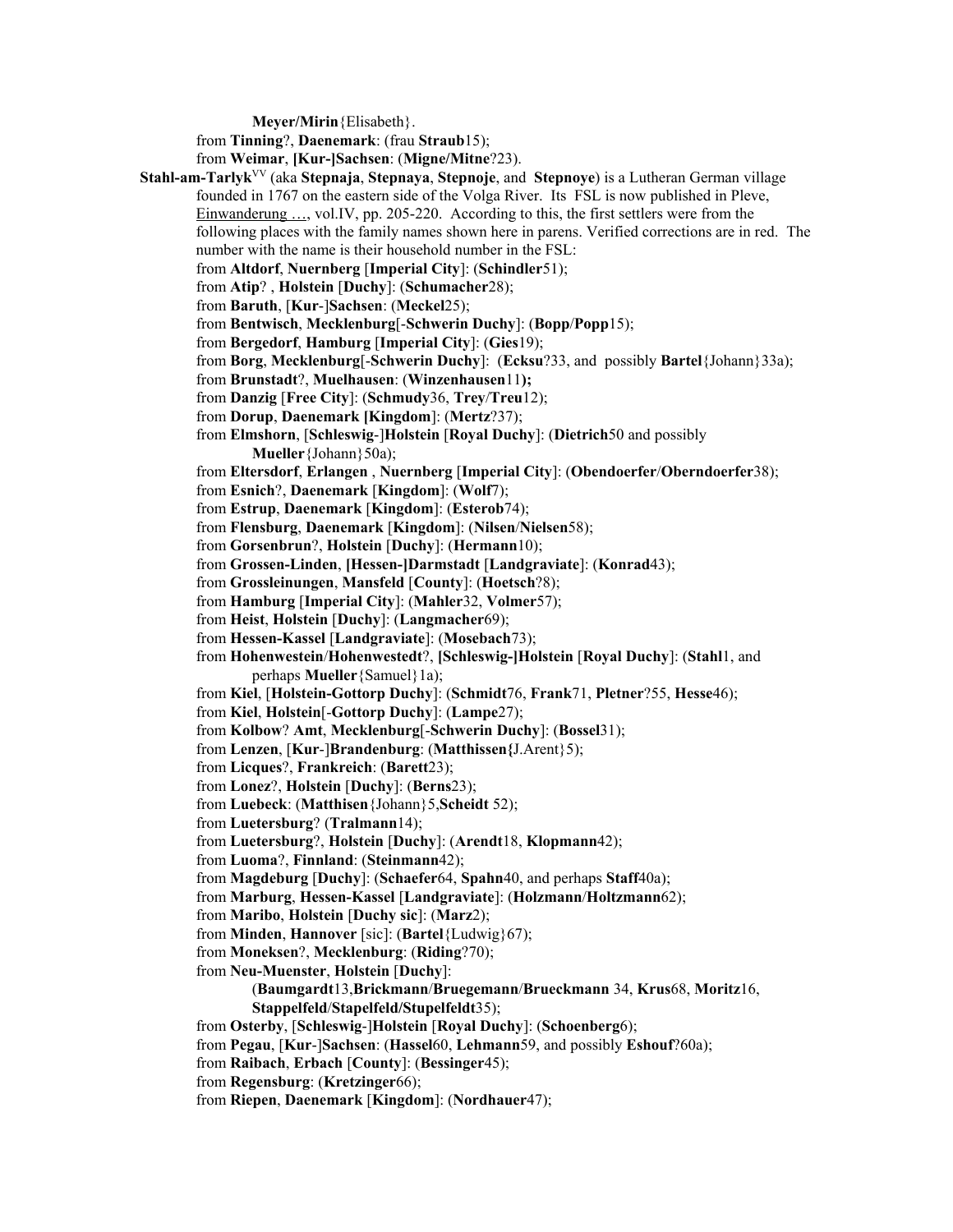**Meyer/Mirin**{Elisabeth}.

from **Tinning**?, **Daenemark**: (frau **Straub**15);

from **Weimar**, **[Kur-]Sachsen**: (**Migne/Mitne**?23).

**Stahl-am-Tarlyk**VV (aka **Stepnaja**, **Stepnaya**, **Stepnoje**, and **Stepnoye**) is a Lutheran German village founded in 1767 on the eastern side of the Volga River. Its FSL is now published in Pleve, Einwanderung …, vol.IV, pp. 205-220. According to this, the first settlers were from the following places with the family names shown here in parens. Verified corrections are in red. The number with the name is their household number in the FSL: from **Altdorf**, **Nuernberg** [**Imperial City**]: (**Schindler**51); from **Atip**? , **Holstein** [**Duchy**]: (**Schumacher**28); from **Baruth**, [**Kur**-]**Sachsen**: (**Meckel**25); from **Bentwisch**, **Mecklenburg**[-**Schwerin Duchy**]: (**Bopp**/**Popp**15); from **Bergedorf**, **Hamburg** [**Imperial City**]: (**Gies**19); from **Borg**, **Mecklenburg**[-**Schwerin Duchy**]: (**Ecksu**?33, and possibly **Bartel**{Johann}33a); from **Brunstadt**?, **Muelhausen**: (**Winzenhausen**11**);**  from **Danzig** [**Free City**]: (**Schmudy**36, **Trey**/**Treu**12); from **Dorup**, **Daenemark [Kingdom**]: (**Mertz**?37); from **Elmshorn**, [**Schleswig**-]**Holstein** [**Royal Duchy**]: (**Dietrich**50 and possibly **Mueller**{Johann}50a); from **Eltersdorf**, **Erlangen** , **Nuernberg** [**Imperial City**]: (**Obendoerfer**/**Oberndoerfer**38); from **Esnich**?, **Daenemark** [**Kingdom**]: (**Wolf**7); from **Estrup**, **Daenemark** [**Kingdom**]: (**Esterob**74); from **Flensburg**, **Daenemark** [**Kingdom**]: (**Nilsen**/**Nielsen**58); from **Gorsenbrun**?, **Holstein** [**Duchy**]: (**Hermann**10); from **Grossen-Linden**, **[Hessen-]Darmstadt** [**Landgraviate**]: (**Konrad**43); from **Grossleinungen**, **Mansfeld** [**County**]: (**Hoetsch**?8); from **Hamburg** [**Imperial City**]: (**Mahler**32, **Volmer**57); from **Heist**, **Holstein** [**Duchy**]: (**Langmacher**69); from **Hessen-Kassel** [**Landgraviate**]: (**Mosebach**73); from **Hohenwestein**/**Hohenwestedt**?, **[Schleswig-]Holstein** [**Royal Duchy**]: (**Stahl**1, and perhaps **Mueller**{Samuel}1a); from **Kiel**, [**Holstein-Gottorp Duchy**]: (**Schmidt**76, **Frank**71, **Pletner**?55, **Hesse**46); from **Kiel**, **Holstein**[-**Gottorp Duchy**]: (**Lampe**27); from **Kolbow**? **Amt**, **Mecklenburg**[-**Schwerin Duchy**]: (**Bossel**31); from **Lenzen**, [**Kur**-]**Brandenburg**: (**Matthissen{**J.Arent}5); from **Licques**?, **Frankreich**: (**Barett**23); from **Lonez**?, **Holstein** [**Duchy**]: (**Berns**23); from **Luebeck**: (**Matthisen**{Johann}5,**Scheidt** 52); from **Luetersburg**? (**Tralmann**14); from **Luetersburg**?, **Holstein** [**Duchy**]: (**Arendt**18, **Klopmann**42); from **Luoma**?, **Finnland**: (**Steinmann**42); from **Magdeburg** [**Duchy**]: (**Schaefer**64, **Spahn**40, and perhaps **Staff**40a); from **Marburg**, **Hessen-Kassel** [**Landgraviate**]: (**Holzmann**/**Holtzmann**62); from **Maribo**, **Holstein** [**Duchy sic**]: (**Marz**2); from **Minden**, **Hannover** [sic]: (**Bartel**{Ludwig}67); from **Moneksen**?, **Mecklenburg**: (**Riding**?70); from **Neu-Muenster**, **Holstein** [**Duchy**]: (**Baumgardt**13,**Brickmann**/**Bruegemann**/**Brueckmann** 34, **Krus**68, **Moritz**16, **Stappelfeld**/**Stapelfeld/Stupelfeldt**35); from **Osterby**, [**Schleswig**-]**Holstein** [**Royal Duchy**]: (**Schoenberg**6); from **Pegau**, [**Kur**-]**Sachsen**: (**Hassel**60, **Lehmann**59, and possibly **Eshouf**?60a); from **Raibach**, **Erbach** [**County**]: (**Bessinger**45);

from **Regensburg**: (**Kretzinger**66);

from **Riepen**, **Daenemark** [**Kingdom**]: (**Nordhauer**47);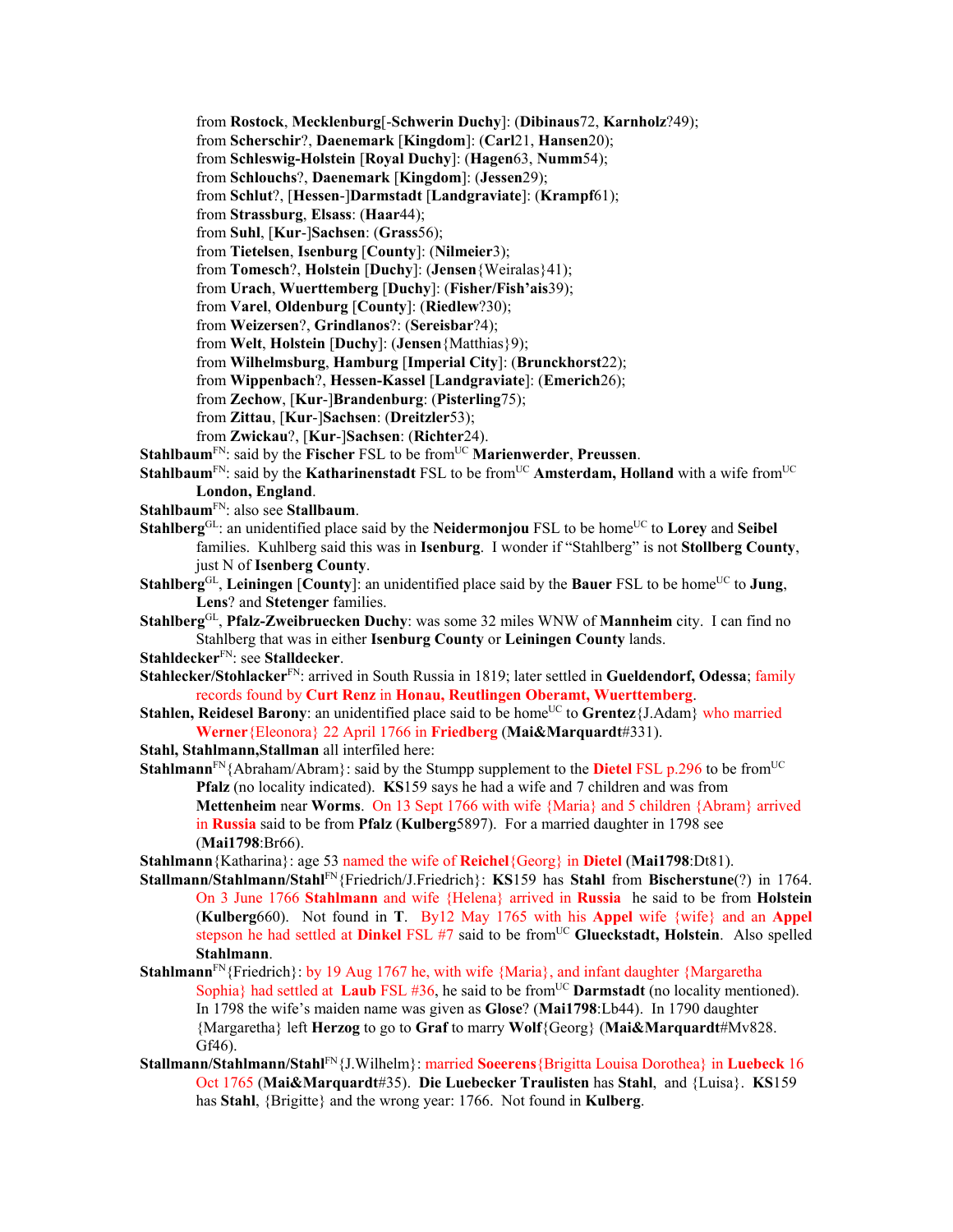from **Rostock**, **Mecklenburg**[-**Schwerin Duchy**]: (**Dibinaus**72, **Karnholz**?49); from **Scherschir**?, **Daenemark** [**Kingdom**]: (**Carl**21, **Hansen**20);

from **Schleswig-Holstein** [**Royal Duchy**]: (**Hagen**63, **Numm**54);

from **Schlouchs**?, **Daenemark** [**Kingdom**]: (**Jessen**29);

from **Schlut**?, [**Hessen**-]**Darmstadt** [**Landgraviate**]: (**Krampf**61);

from **Strassburg**, **Elsass**: (**Haar**44);

from **Suhl**, [**Kur**-]**Sachsen**: (**Grass**56);

from **Tietelsen**, **Isenburg** [**County**]: (**Nilmeier**3);

from **Tomesch**?, **Holstein** [**Duchy**]: (**Jensen**{Weiralas}41);

from **Urach**, **Wuerttemberg** [**Duchy**]: (**Fisher/Fish'ais**39);

from **Varel**, **Oldenburg** [**County**]: (**Riedlew**?30);

from **Weizersen**?, **Grindlanos**?: (**Sereisbar**?4);

from **Welt**, **Holstein** [**Duchy**]: (**Jensen**{Matthias}9);

from **Wilhelmsburg**, **Hamburg** [**Imperial City**]: (**Brunckhorst**22);

from **Wippenbach**?, **Hessen-Kassel** [**Landgraviate**]: (**Emerich**26);

from **Zechow**, [**Kur**-]**Brandenburg**: (**Pisterling**75);

- from **Zittau**, [**Kur**-]**Sachsen**: (**Dreitzler**53);
- from **Zwickau**?, [**Kur**-]**Sachsen**: (**Richter**24).

**Stahlbaum**FN: said by the **Fischer** FSL to be fromUC **Marienwerder**, **Preussen**.

- **Stahlbaum**<sup>FN</sup>: said by the **Katharinenstadt** FSL to be from<sup>UC</sup> **Amsterdam, Holland** with a wife from<sup>UC</sup> **London, England**.
- **Stahlbaum**FN: also see **Stallbaum**.
- **Stahlberg**<sup>GL</sup>: an unidentified place said by the **Neidermonjou** FSL to be home<sup>UC</sup> to **Lorey** and **Seibel** families. Kuhlberg said this was in **Isenburg**. I wonder if "Stahlberg" is not **Stollberg County**, just N of **Isenberg County**.
- **Stahlberg**<sup>GL</sup>, Leiningen [County]: an unidentified place said by the Bauer FSL to be home<sup>UC</sup> to Jung, **Lens**? and **Stetenger** families.

**Stahlberg**GL, **Pfalz-Zweibruecken Duchy**: was some 32 miles WNW of **Mannheim** city. I can find no Stahlberg that was in either **Isenburg County** or **Leiningen County** lands.

**Stahldecker**FN: see **Stalldecker**.

**Stahlecker/Stohlacker**FN: arrived in South Russia in 1819; later settled in **Gueldendorf, Odessa**; family records found by **Curt Renz** in **Honau, Reutlingen Oberamt, Wuerttemberg**.

**Stahlen, Reidesel Barony**: an unidentified place said to be home<sup>UC</sup> to **Grentez**{J.Adam} who married **Werner**{Eleonora} 22 April 1766 in **Friedberg** (**Mai&Marquardt**#331).

**Stahl, Stahlmann,Stallman** all interfiled here:

**Stahlmann**<sup>FN</sup>{Abraham/Abram}: said by the Stumpp supplement to the **Dietel** FSL p.296 to be from<sup>UC</sup> **Pfalz** (no locality indicated). **KS**159 says he had a wife and 7 children and was from **Mettenheim** near **Worms**. On 13 Sept 1766 with wife {Maria} and 5 children {Abram} arrived in **Russia** said to be from **Pfalz** (**Kulberg**5897). For a married daughter in 1798 see (**Mai1798**:Br66).

**Stahlmann**{Katharina}: age 53 named the wife of **Reichel**{Georg} in **Dietel** (**Mai1798**:Dt81).

- **Stallmann/Stahlmann/Stahl**FN{Friedrich/J.Friedrich}: **KS**159 has **Stahl** from **Bischerstune**(?) in 1764. On 3 June 1766 **Stahlmann** and wife {Helena} arrived in **Russia** he said to be from **Holstein** (**Kulberg**660). Not found in **T**. By12 May 1765 with his **Appel** wife {wife} and an **Appel**  stepson he had settled at **Dinkel** FSL #7 said to be from<sup>UC</sup> Glueckstadt, Holstein. Also spelled **Stahlmann**.
- **Stahlmann**<sup>FN</sup>{Friedrich}: by 19 Aug 1767 he, with wife {Maria}, and infant daughter {Margaretha Sophia} had settled at **Laub** FSL #36, he said to be from<sup>UC</sup> **Darmstadt** (no locality mentioned). In 1798 the wife's maiden name was given as **Glose**? (**Mai1798**:Lb44). In 1790 daughter {Margaretha} left **Herzog** to go to **Graf** to marry **Wolf**{Georg} (**Mai&Marquardt**#Mv828. Gf46).
- **Stallmann/Stahlmann/Stahl**FN{J.Wilhelm}: married **Soeerens**{Brigitta Louisa Dorothea} in **Luebeck** 16 Oct 1765 (**Mai&Marquardt**#35). **Die Luebecker Traulisten** has **Stahl**, and {Luisa}. **KS**159 has **Stahl**, {Brigitte} and the wrong year: 1766. Not found in **Kulberg**.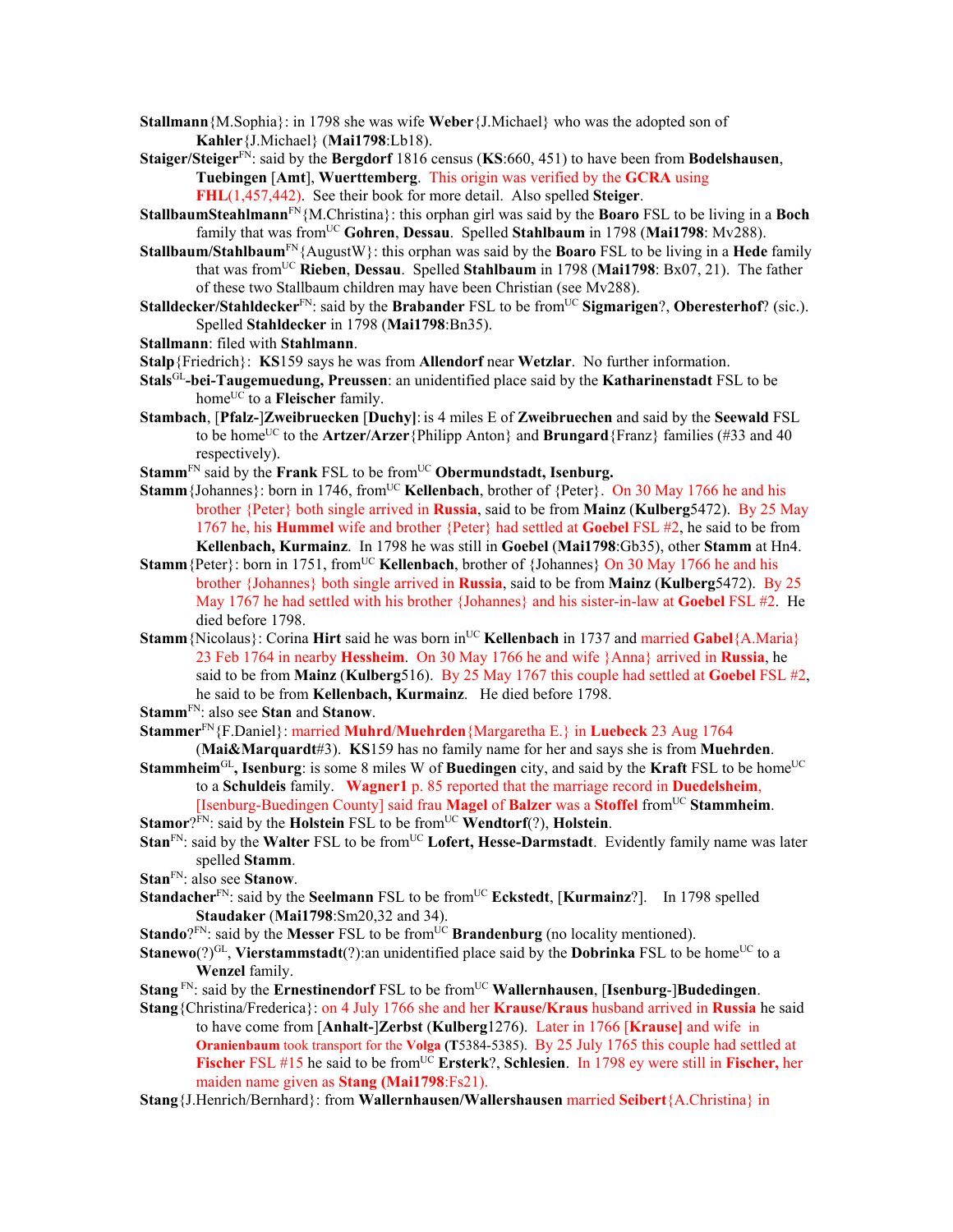- **Stallmann**{M.Sophia}: in 1798 she was wife **Weber**{J.Michael} who was the adopted son of **Kahler**{J.Michael} (**Mai1798**:Lb18).
- **Staiger/Steiger**FN: said by the **Bergdorf** 1816 census (**KS**:660, 451) to have been from **Bodelshausen**, **Tuebingen** [**Amt**], **Wuerttemberg**. This origin was verified by the **GCRA** using **FHL**(1,457,442). See their book for more detail. Also spelled **Steiger**.
- **StallbaumSteahlmann**FN{M.Christina}: this orphan girl was said by the **Boaro** FSL to be living in a **Boch** family that was from<sup>UC</sup> Gohren, Dessau. Spelled Stahlbaum in 1798 (Mai1798: Mv288).
- **Stallbaum/Stahlbaum**FN{AugustW}: this orphan was said by the **Boaro** FSL to be living in a **Hede** family that was fromUC **Rieben**, **Dessau**. Spelled **Stahlbaum** in 1798 (**Mai1798**: Bx07, 21). The father of these two Stallbaum children may have been Christian (see Mv288).
- **Stalldecker/Stahldecker**<sup>FN</sup>: said by the **Brabander** FSL to be from<sup>UC</sup> **Sigmarigen**?, **Oberesterhof**? (sic.). Spelled **Stahldecker** in 1798 (**Mai1798**:Bn35).
- **Stallmann**: filed with **Stahlmann**.
- **Stalp**{Friedrich}: **KS**159 says he was from **Allendorf** near **Wetzlar**. No further information.
- **Stals**GL**-bei-Taugemuedung, Preussen**: an unidentified place said by the **Katharinenstadt** FSL to be home<sup>UC</sup> to a **Fleischer** family.
- **Stambach**, [**Pfalz-**]**Zweibruecken** [**Duchy]**: is 4 miles E of **Zweibruechen** and said by the **Seewald** FSL to be home<sup>UC</sup> to the **Artzer/Arzer** {Philipp Anton} and **Brungard** {Franz} families (#33 and 40) respectively).
- **Stamm<sup>FN</sup> said by the Frank FSL to be from<sup>UC</sup> Obermundstadt, Isenburg.**
- **Stamm** {Johannes}: born in 1746, from<sup>UC</sup> **Kellenbach**, brother of {Peter}. On 30 May 1766 he and his brother {Peter} both single arrived in **Russia**, said to be from **Mainz** (**Kulberg**5472). By 25 May 1767 he, his **Hummel** wife and brother {Peter} had settled at **Goebel** FSL #2, he said to be from **Kellenbach, Kurmainz**. In 1798 he was still in **Goebel** (**Mai1798**:Gb35), other **Stamm** at Hn4.
- **Stamm** {Peter}: born in 1751, from<sup>UC</sup> **Kellenbach**, brother of {Johannes} On 30 May 1766 he and his brother {Johannes} both single arrived in **Russia**, said to be from **Mainz** (**Kulberg**5472). By 25 May 1767 he had settled with his brother {Johannes} and his sister-in-law at **Goebel** FSL #2. He died before 1798.
- **Stamm**{Nicolaus}: Corina **Hirt** said he was born in<sup>UC</sup> **Kellenbach** in 1737 and married **Gabel**{A.Maria} 23 Feb 1764 in nearby **Hessheim**. On 30 May 1766 he and wife }Anna} arrived in **Russia**, he said to be from **Mainz** (**Kulberg**516). By 25 May 1767 this couple had settled at **Goebel** FSL #2, he said to be from **Kellenbach, Kurmainz**. He died before 1798.
- **Stamm**FN: also see **Stan** and **Stanow**.
- **Stammer**FN{F.Daniel}: married **Muhrd**/**Muehrden**{Margaretha E.} in **Luebeck** 23 Aug 1764
- (**Mai&Marquardt**#3). **KS**159 has no family name for her and says she is from **Muehrden**. **Stammheim<sup>GL</sup>**, **Isenburg**: is some 8 miles W of **Buedingen** city, and said by the **Kraft** FSL to be home<sup>UC</sup> to a **Schuldeis** family. **Wagner1** p. 85 reported that the marriage record in **Duedelsheim**,
- [Isenburg-Buedingen County] said frau **Magel** of **Balzer** was a **Stoffel** fromUC **Stammheim**. **Stamor**?FN: said by the **Holstein** FSL to be from<sup>UC</sup> **Wendtorf**(?), **Holstein**.
- **Stan**<sup>FN</sup>: said by the **Walter** FSL to be from<sup>UC</sup> Lofert, Hesse-Darmstadt. Evidently family name was later spelled **Stamm**.
- **Stan**FN: also see **Stanow**.
- **Standacher**<sup>FN</sup>: said by the **Seelmann** FSL to be from<sup>UC</sup> **Eckstedt**, [**Kurmainz**?]. In 1798 spelled **Staudaker** (**Mai1798**:Sm20,32 and 34).
- **Stando**?FN: said by the **Messer** FSL to be from<sup>UC</sup> **Brandenburg** (no locality mentioned).
- **Stanewo**(?)<sup>GL</sup>, **Vierstammstadt**(?):an unidentified place said by the **Dobrinka** FSL to be home<sup>UC</sup> to a **Wenzel** family.
- **Stang** FN: said by the **Ernestinendorf** FSL to be fromUC **Wallernhausen**, [**Isenburg**-]**Budedingen**.
- **Stang**{Christina/Frederica}: on 4 July 1766 she and her **Krause/Kraus** husband arrived in **Russia** he said to have come from [**Anhalt-**]**Zerbst** (**Kulberg**1276). Later in 1766 [**Krause]** and wife in **Oranienbaum** took transport for the **Volga (T**5384-5385). By 25 July 1765 this couple had settled at **Fischer** FSL #15 he said to be fromUC **Ersterk**?, **Schlesien**. In 1798 ey were still in **Fischer,** her maiden name given as **Stang (Mai1798**:Fs21).
- **Stang**{J.Henrich/Bernhard}: from **Wallernhausen/Wallershausen** married **Seibert**{A.Christina} in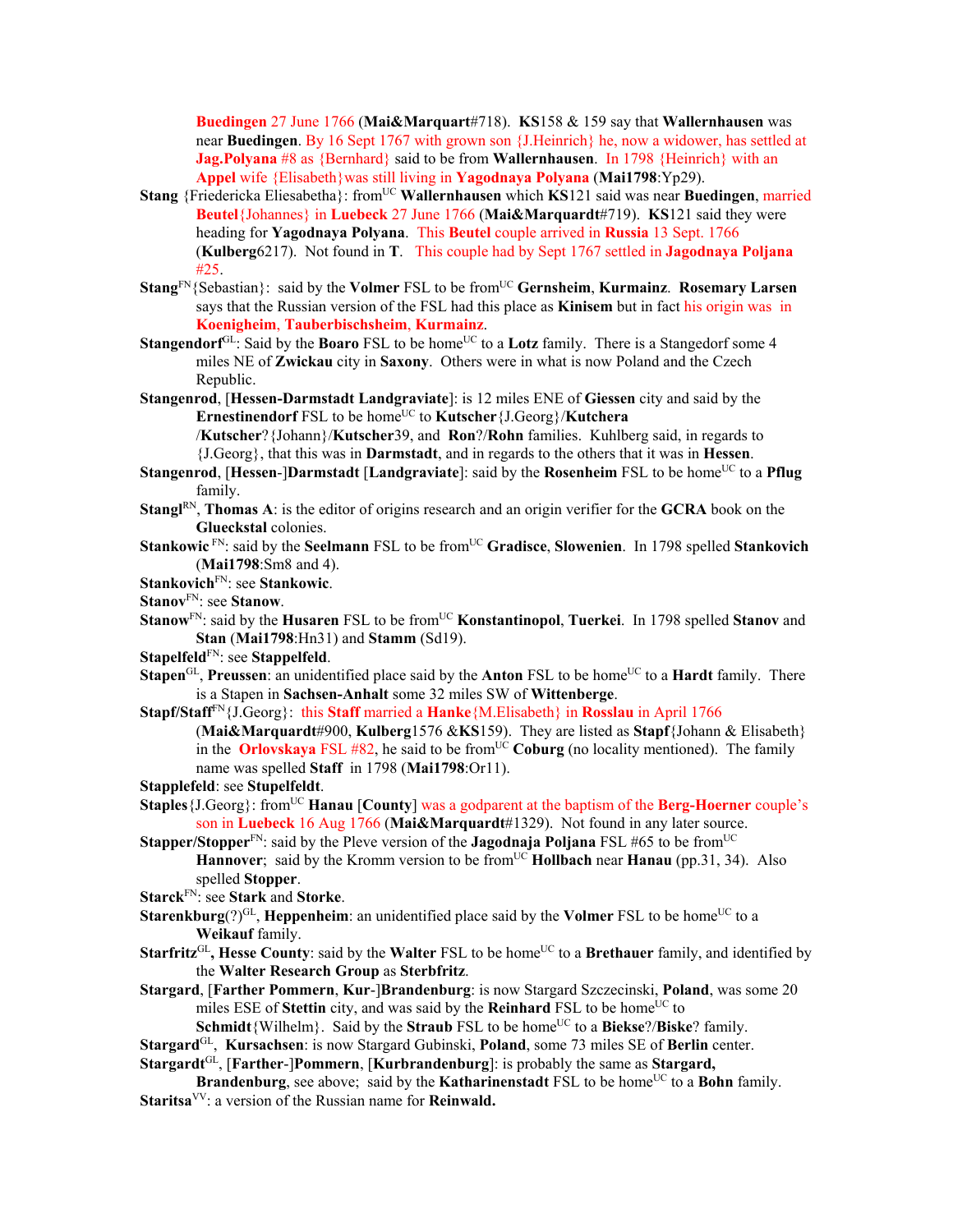**Buedingen** 27 June 1766 (**Mai&Marquart**#718). **KS**158 & 159 say that **Wallernhausen** was near **Buedingen**. By 16 Sept 1767 with grown son {J.Heinrich} he, now a widower, has settled at **Jag.Polyana** #8 as {Bernhard} said to be from **Wallernhausen**. In 1798 {Heinrich} with an **Appel** wife {Elisabeth}was still living in **Yagodnaya Polyana** (**Mai1798**:Yp29).

- **Stang** {Friedericka Eliesabetha}: fromUC **Wallernhausen** which **KS**121 said was near **Buedingen**, married **Beutel**{Johannes} in **Luebeck** 27 June 1766 (**Mai&Marquardt**#719). **KS**121 said they were heading for **Yagodnaya Polyana**. This **Beutel** couple arrived in **Russia** 13 Sept. 1766 (**Kulberg**6217). Not found in **T**. This couple had by Sept 1767 settled in **Jagodnaya Poljana** #25.
- **Stang**FN{Sebastian}: said by the **Volmer** FSL to be fromUC **Gernsheim**, **Kurmainz**. **Rosemary Larsen** says that the Russian version of the FSL had this place as **Kinisem** but in fact his origin was in **Koenigheim**, **Tauberbischsheim**, **Kurmainz**.
- **Stangendorf**<sup>GL</sup>: Said by the **Boaro** FSL to be home<sup>UC</sup> to a **Lotz** family. There is a Stangedorf some 4 miles NE of **Zwickau** city in **Saxony**. Others were in what is now Poland and the Czech Republic.
- **Stangenrod**, [**Hessen-Darmstadt Landgraviate**]: is 12 miles ENE of **Giessen** city and said by the **Ernestinendorf** FSL to be home<sup>UC</sup> to **Kutscher**{J.Georg}/**Kutchera** /**Kutscher**?{Johann}/**Kutscher**39, and **Ron**?/**Rohn** families. Kuhlberg said, in regards to

{J.Georg}, that this was in **Darmstadt**, and in regards to the others that it was in **Hessen**. **Stangenrod, [Hessen-]Darmstadt** [Landgraviate]: said by the **Rosenheim** FSL to be home<sup>UC</sup> to a **Pflug** 

- family.
- **Stangl**RN, **Thomas A**: is the editor of origins research and an origin verifier for the **GCRA** book on the **Glueckstal** colonies.
- **Stankowic** FN: said by the **Seelmann** FSL to be fromUC **Gradisce**, **Slowenien**. In 1798 spelled **Stankovich** (**Mai1798**:Sm8 and 4).

**Stankovich**FN: see **Stankowic**.

- **Stanov**FN: see **Stanow**.
- **Stanow**<sup>FN</sup>: said by the **Husaren** FSL to be from<sup>UC</sup> **Konstantinopol, Tuerkei**. In 1798 spelled **Stanov** and **Stan** (**Mai1798**:Hn31) and **Stamm** (Sd19).
- **Stapelfeld**FN: see **Stappelfeld**.
- **Stapen**<sup>GL</sup>, **Preussen**: an unidentified place said by the **Anton** FSL to be home<sup>UC</sup> to a **Hardt** family. There is a Stapen in **Sachsen-Anhalt** some 32 miles SW of **Wittenberge**.
- **Stapf/Staff**FN{J.Georg}: this **Staff** married a **Hanke**{M.Elisabeth} in **Rosslau** in April 1766 (**Mai&Marquardt**#900, **Kulberg**1576 &**KS**159). They are listed as **Stapf**{Johann & Elisabeth} in the **Orlovskaya** FSL #82, he said to be from<sup>UC</sup> **Coburg** (no locality mentioned). The family name was spelled **Staff** in 1798 (**Mai1798**:Or11).

**Stapplefeld**: see **Stupelfeldt**.

- **Staples** {J.Georg}: from<sup>UC</sup> **Hanau** [**County**] was a godparent at the baptism of the **Berg-Hoerner** couple's son in **Luebeck** 16 Aug 1766 (**Mai&Marquardt**#1329). Not found in any later source.
- **Stapper/Stopper**<sup>FN</sup>: said by the Pleve version of the **Jagodnaja Poljana** FSL #65 to be from<sup>UC</sup> **Hannover**; said by the Kromm version to be from<sup>UC</sup> **Hollbach** near **Hanau** (pp.31, 34). Also spelled **Stopper**.
- **Starck**FN: see **Stark** and **Storke**.
- **Starenkburg** $(?)^{GL}$ , **Heppenheim**: an unidentified place said by the **Volmer** FSL to be home<sup>UC</sup> to a **Weikauf** family.
- **Starfritz**<sup>GL</sup>, **Hesse County**: said by the **Walter** FSL to be home<sup>UC</sup> to a **Brethauer** family, and identified by the **Walter Research Group** as **Sterbfritz**.
- **Stargard**, [**Farther Pommern**, **Kur**-]**Brandenburg**: is now Stargard Szczecinski, **Poland**, was some 20 miles ESE of **Stettin** city, and was said by the **Reinhard** FSL to be home<sup>UC</sup> to

**Schmidt**{Wilhelm}. Said by the **Straub** FSL to be home<sup>UC</sup> to a **Biekse**?/**Biske**? family.

**Stargard**GL, **Kursachsen**: is now Stargard Gubinski, **Poland**, some 73 miles SE of **Berlin** center. **Stargardt**GL, [**Farther**-]**Pommern**, [**Kurbrandenburg**]: is probably the same as **Stargard,** 

**Brandenburg**, see above; said by the **Katharinenstadt** FSL to be home<sup>UC</sup> to a **Bohn** family.

**Staritsa**VV: a version of the Russian name for **Reinwald.**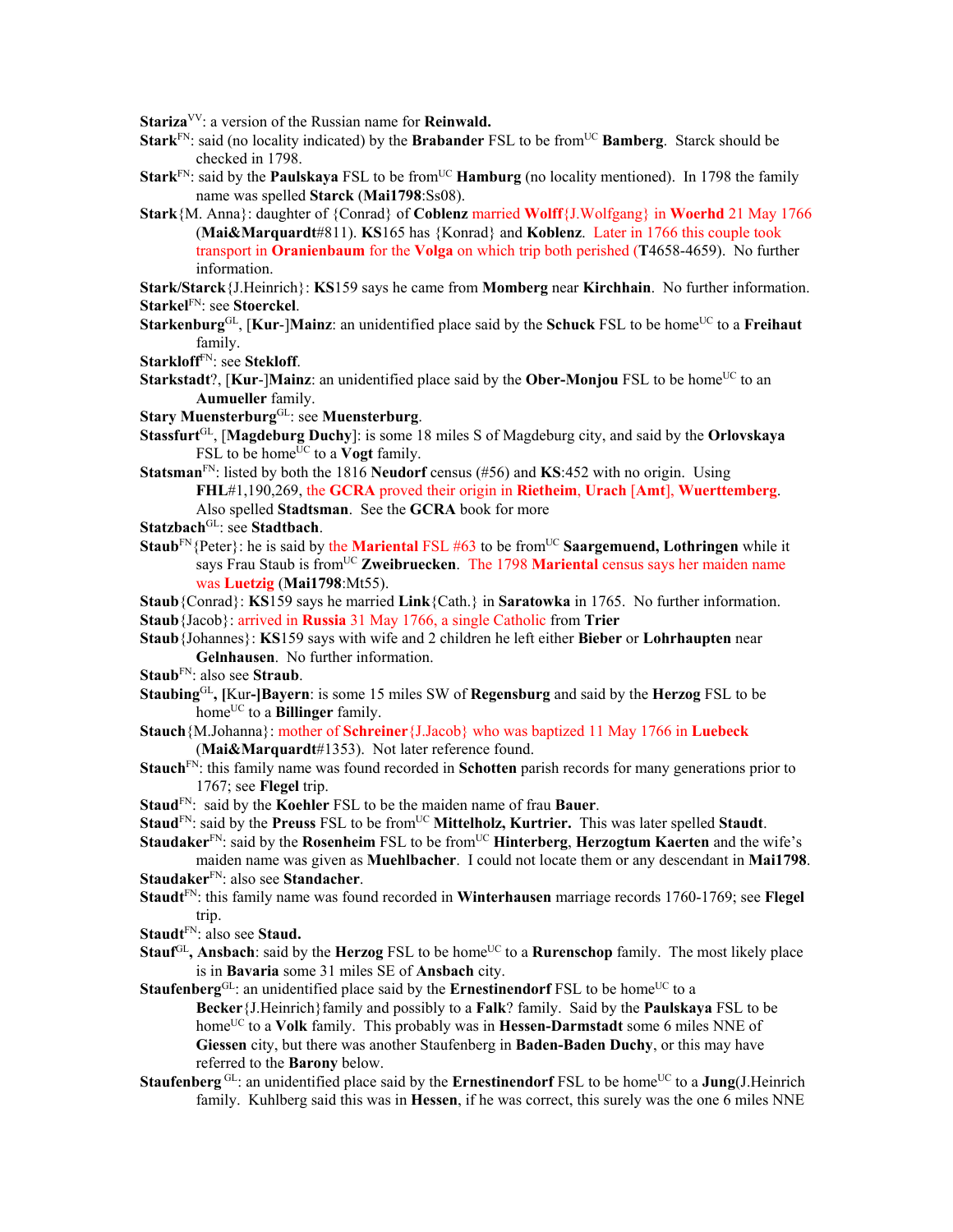**Stariza**VV: a version of the Russian name for **Reinwald.** 

- **Stark**<sup>FN</sup>: said (no locality indicated) by the **Brabander** FSL to be from<sup>UC</sup> **Bamberg**. Starck should be checked in 1798.
- **Stark**<sup>FN</sup>: said by the **Paulskaya** FSL to be from<sup>UC</sup> **Hamburg** (no locality mentioned). In 1798 the family name was spelled **Starck** (**Mai1798**:Ss08).
- **Stark**{M. Anna}: daughter of {Conrad} of **Coblenz** married **Wolff**{J.Wolfgang} in **Woerhd** 21 May 1766 (**Mai&Marquardt**#811). **KS**165 has {Konrad} and **Koblenz**. Later in 1766 this couple took transport in **Oranienbaum** for the **Volga** on which trip both perished (**T**4658-4659).No further information.

**Stark/Starck**{J.Heinrich}: **KS**159 says he came from **Momberg** near **Kirchhain**. No further information. **Starkel**FN: see **Stoerckel**.

**Starkenburg**GL, [**Kur**-]**Mainz**: an unidentified place said by the **Schuck** FSL to be homeUC to a **Freihaut** family.

**Starkloff**FN: see **Stekloff**.

**Starkstadt**?, [Kur-]Mainz: an unidentified place said by the **Ober-Monjou** FSL to be home<sup>UC</sup> to an **Aumueller** family.

**Stary Muensterburg**GL: see **Muensterburg**.

- **Stassfurt**GL, [**Magdeburg Duchy**]: is some 18 miles S of Magdeburg city, and said by the **Orlovskaya** FSL to be home<sup> $\overline{U}C$ </sup> to a **Vogt** family.
- **Statsman**FN: listed by both the 1816 **Neudorf** census (#56) and **KS**:452 with no origin. Using **FHL**#1,190,269, the **GCRA** proved their origin in **Rietheim**, **Urach** [**Amt**], **Wuerttemberg**. Also spelled **Stadtsman**. See the **GCRA** book for more
- **Statzbach**GL: see **Stadtbach**.
- **Staub**<sup>FN</sup>{Peter}: he is said by the **Mariental** FSL #63 to be from<sup>UC</sup> **Saargemuend, Lothringen** while it says Frau Staub is fromUC **Zweibruecken**. The 1798 **Mariental** census says her maiden name was **Luetzig** (**Mai1798**:Mt55).

**Staub**{Conrad}: **KS**159 says he married **Link**{Cath.} in **Saratowka** in 1765. No further information. **Staub**{Jacob}: arrived in **Russia** 31 May 1766, a single Catholic from **Trier**

- **Staub**{Johannes}: **KS**159 says with wife and 2 children he left either **Bieber** or **Lohrhaupten** near **Gelnhausen**. No further information.
- **Staub**FN: also see **Straub**.
- **Staubing**GL**, [**Kur**-]Bayern**: is some 15 miles SW of **Regensburg** and said by the **Herzog** FSL to be homeUC to a **Billinger** family.
- **Stauch**{M.Johanna}: mother of **Schreiner**{J.Jacob} who was baptized 11 May 1766 in **Luebeck** (**Mai&Marquardt**#1353). Not later reference found.
- **Stauch**FN: this family name was found recorded in **Schotten** parish records for many generations prior to 1767; see **Flegel** trip.
- **Staud**FN: said by the **Koehler** FSL to be the maiden name of frau **Bauer**.
- **Staud**<sup>FN</sup>: said by the **Preuss** FSL to be from<sup>UC</sup> **Mittelholz, Kurtrier.** This was later spelled **Staudt**.

**Staudaker**<sup>FN</sup>: said by the **Rosenheim** FSL to be from<sup>UC</sup> **Hinterberg**, **Herzogtum Kaerten** and the wife's maiden name was given as **Muehlbacher**. I could not locate them or any descendant in **Mai1798**.

**Staudaker**FN: also see **Standacher**.

- **Staudt**FN: this family name was found recorded in **Winterhausen** marriage records 1760-1769; see **Flegel** trip.
- **Staudt**FN: also see **Staud.**
- **Stauf**GL, Ansbach: said by the **Herzog** FSL to be home<sup>UC</sup> to a **Rurenschop** family. The most likely place is in **Bavaria** some 31 miles SE of **Ansbach** city.

**Staufenberg**<sup>GL</sup>: an unidentified place said by the **Ernestinendorf** FSL to be home<sup>UC</sup> to a **Becker**{J.Heinrich}family and possibly to a **Falk**? family. Said by the **Paulskaya** FSL to be home<sup>UC</sup> to a **Volk** family. This probably was in **Hessen-Darmstadt** some 6 miles NNE of **Giessen** city, but there was another Staufenberg in **Baden-Baden Duchy**, or this may have referred to the **Barony** below.

**Staufenberg** GL: an unidentified place said by the **Ernestinendorf** FSL to be home<sup>UC</sup> to a **Jung**(J.Heinrich family. Kuhlberg said this was in **Hessen**, if he was correct, this surely was the one 6 miles NNE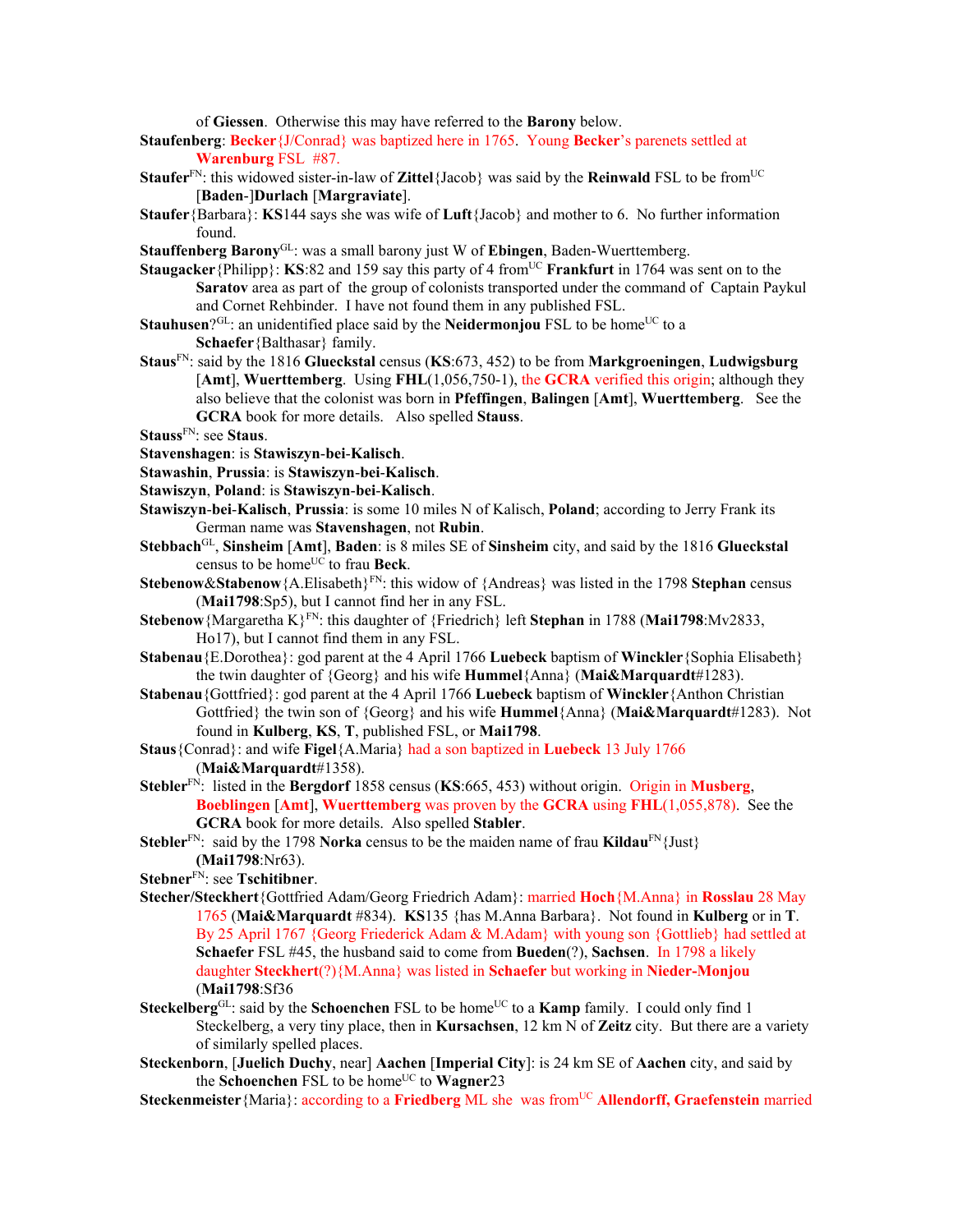of **Giessen**. Otherwise this may have referred to the **Barony** below.

**Staufenberg**: **Becker**{J/Conrad} was baptized here in 1765. Young **Becker**'s parenets settled at **Warenburg** FSL #87.

- **Staufer**<sup>FN</sup>: this widowed sister-in-law of **Zittel**{Jacob} was said by the **Reinwald** FSL to be from<sup>UC</sup> [**Baden**-]**Durlach** [**Margraviate**].
- **Staufer**{Barbara}: **KS**144 says she was wife of **Luft**{Jacob} and mother to 6. No further information found.
- **Stauffenberg Barony**GL: was a small barony just W of **Ebingen**, Baden-Wuerttemberg.
- **Staugacker**{Philipp}: **KS**:82 and 159 say this party of 4 from<sup>UC</sup> **Frankfurt** in 1764 was sent on to the **Saratov** area as part of the group of colonists transported under the command of Captain Paykul and Cornet Rehbinder. I have not found them in any published FSL.
- **Stauhusen**?<sup>GL</sup>: an unidentified place said by the **Neidermonjou** FSL to be home<sup>UC</sup> to a **Schaefer**{Balthasar} family.
- **Staus**FN: said by the 1816 **Glueckstal** census (**KS**:673, 452) to be from **Markgroeningen**, **Ludwigsburg** [**Amt**], **Wuerttemberg**. Using **FHL**(1,056,750-1), the **GCRA** verified this origin; although they also believe that the colonist was born in **Pfeffingen**, **Balingen** [**Amt**], **Wuerttemberg**. See the **GCRA** book for more details. Also spelled **Stauss**.
- **Stauss**FN: see **Staus**.
- **Stavenshagen**: is **Stawiszyn**-**bei**-**Kalisch**.
- **Stawashin**, **Prussia**: is **Stawiszyn**-**bei**-**Kalisch**.
- **Stawiszyn**, **Poland**: is **Stawiszyn**-**bei**-**Kalisch**.
- **Stawiszyn**-**bei**-**Kalisch**, **Prussia**: is some 10 miles N of Kalisch, **Poland**; according to Jerry Frank its German name was **Stavenshagen**, not **Rubin**.
- **Stebbach**GL, **Sinsheim** [**Amt**], **Baden**: is 8 miles SE of **Sinsheim** city, and said by the 1816 **Glueckstal** census to be home<sup>UC</sup> to frau Beck.
- **Stebenow&Stabenow**{A.Elisabeth}<sup>FN</sup>: this widow of {Andreas} was listed in the 1798 **Stephan** census (**Mai1798**:Sp5), but I cannot find her in any FSL.
- **Stebenow**{Margaretha K}FN: this daughter of {Friedrich} left **Stephan** in 1788 (**Mai1798**:Mv2833, Ho17), but I cannot find them in any FSL.
- **Stabenau**{E.Dorothea}: god parent at the 4 April 1766 **Luebeck** baptism of **Winckler**{Sophia Elisabeth} the twin daughter of {Georg} and his wife **Hummel**{Anna} (**Mai&Marquardt**#1283).
- **Stabenau**{Gottfried}: god parent at the 4 April 1766 **Luebeck** baptism of **Winckler**{Anthon Christian Gottfried} the twin son of {Georg} and his wife **Hummel**{Anna} (**Mai&Marquardt**#1283). Not found in **Kulberg**, **KS**, **T**, published FSL, or **Mai1798**.
- **Staus**{Conrad}: and wife **Figel**{A.Maria} had a son baptized in **Luebeck** 13 July 1766 (**Mai&Marquardt**#1358).
- **Stebler**FN: listed in the **Bergdorf** 1858 census (**KS**:665, 453) without origin. Origin in **Musberg**, **Boeblingen** [**Amt**], **Wuerttemberg** was proven by the **GCRA** using **FHL**(1,055,878). See the **GCRA** book for more details. Also spelled **Stabler**.
- **Stebler**<sup>FN</sup>: said by the 1798 **Norka** census to be the maiden name of frau **Kildau**<sup>FN</sup>{Just} **(Mai1798**:Nr63).
- **Stebner**FN: see **Tschitibner**.
- **Stecher/Steckhert**{Gottfried Adam/Georg Friedrich Adam}: married **Hoch**{M.Anna} in **Rosslau** 28 May 1765 (**Mai&Marquardt** #834). **KS**135 {has M.Anna Barbara}. Not found in **Kulberg** or in **T**. By 25 April 1767 {Georg Friederick Adam & M.Adam} with young son {Gottlieb} had settled at **Schaefer** FSL #45, the husband said to come from **Bueden**(?), **Sachsen**. In 1798 a likely daughter **Steckhert**(?){M.Anna} was listed in **Schaefer** but working in **Nieder-Monjou**  (**Mai1798**:Sf36
- **Steckelberg**GL: said by the **Schoenchen** FSL to be home<sup>UC</sup> to a **Kamp** family. I could only find 1 Steckelberg, a very tiny place, then in **Kursachsen**, 12 km N of **Zeitz** city. But there are a variety of similarly spelled places.
- **Steckenborn**, [**Juelich Duchy**, near] **Aachen** [**Imperial City**]: is 24 km SE of **Aachen** city, and said by the **Schoenchen** FSL to be home<sup>UC</sup> to **Wagner**23
- **Steckenmeister** {Maria}: according to a **Friedberg** ML she was from<sup>UC</sup> **Allendorff, Graefenstein** married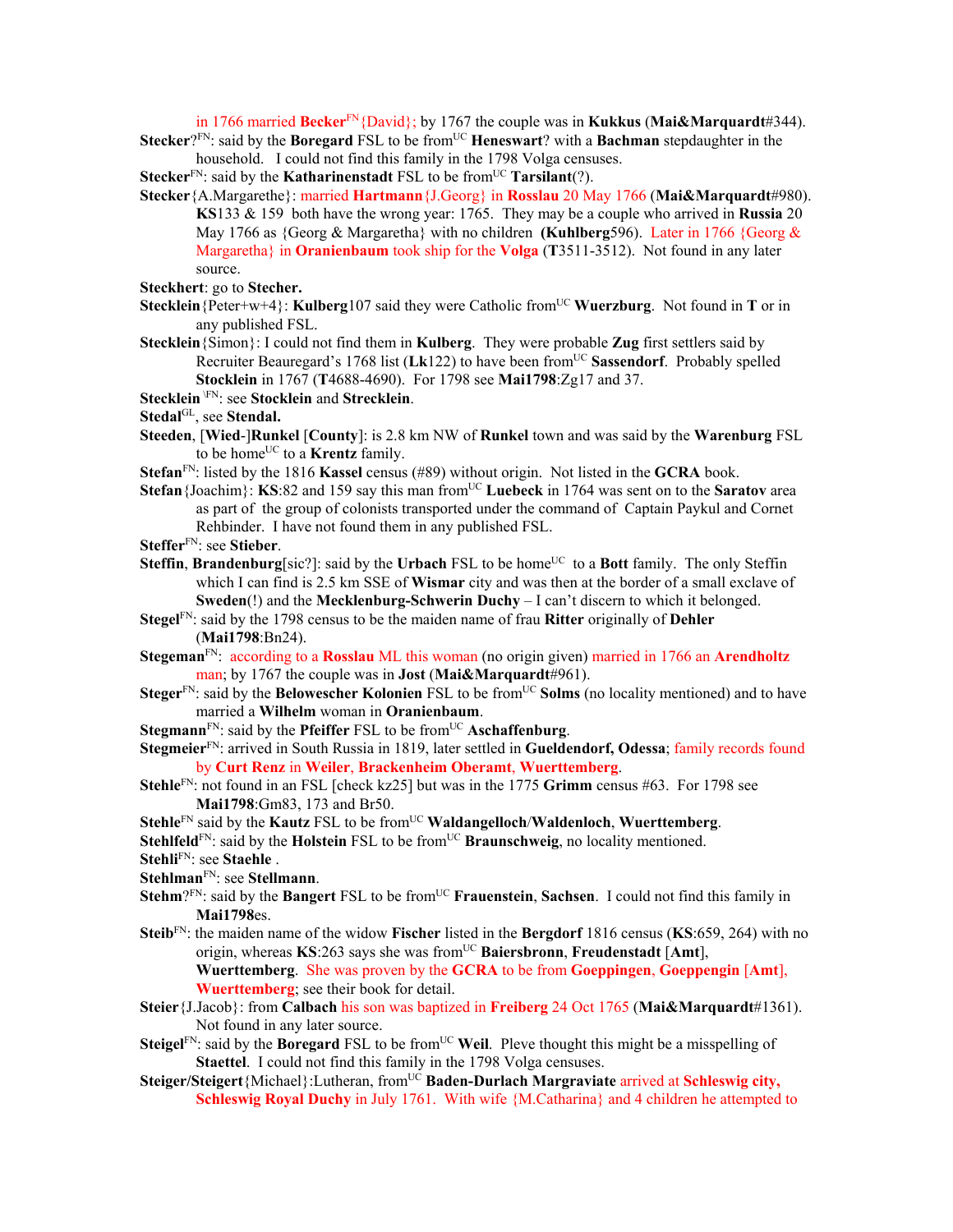in 1766 married **Becker**FN{David}; by 1767 the couple was in **Kukkus** (**Mai&Marquardt**#344). **Stecker**?FN: said by the **Boregard** FSL to be from<sup>UC</sup> **Heneswart**? with a **Bachman** stepdaughter in the

household. I could not find this family in the 1798 Volga censuses.

**Stecker**<sup>FN</sup>: said by the **Katharinenstadt** FSL to be from<sup>UC</sup> **Tarsilant**(?).

- **Stecker**{A.Margarethe}: married **Hartmann**{J.Georg} in **Rosslau** 20 May 1766 (**Mai&Marquardt**#980). **KS**133 & 159 both have the wrong year: 1765. They may be a couple who arrived in **Russia** 20 May 1766 as {Georg & Margaretha} with no children **(Kuhlberg**596). Later in 1766 {Georg & Margaretha} in **Oranienbaum** took ship for the **Volga** (**T**3511-3512). Not found in any later source.
- **Steckhert**: go to **Stecher.**
- **Stecklein** {Peter+w+4}: **Kulberg**107 said they were Catholic from<sup>UC</sup> **Wuerzburg**. Not found in **T** or in any published FSL.
- **Stecklein**{Simon}: I could not find them in **Kulberg**. They were probable **Zug** first settlers said by Recruiter Beauregard's 1768 list (Lk122) to have been from<sup>UC</sup> Sassendorf. Probably spelled **Stocklein** in 1767 (**T**4688-4690). For 1798 see **Mai1798**:Zg17 and 37.
- **Stecklein** \FN: see **Stocklein** and **Strecklein**.

Stedal<sup>GL</sup>, see Stendal.

- **Steeden**, [**Wied**-]**Runkel** [**County**]: is 2.8 km NW of **Runkel** town and was said by the **Warenburg** FSL to be home<sup>UC</sup> to a **Krentz** family.
- **Stefan**FN: listed by the 1816 **Kassel** census (#89) without origin. Not listed in the **GCRA** book.
- **Stefan**{Joachim}: **KS**:82 and 159 say this man from<sup>UC</sup> Luebeck in 1764 was sent on to the **Saratov** area as part of the group of colonists transported under the command of Captain Paykul and Cornet Rehbinder. I have not found them in any published FSL.

**Steffer**FN: see **Stieber**.

- **Steffin, Brandenburg**[sic?]: said by the **Urbach** FSL to be home<sup>UC</sup> to a **Bott** family. The only Steffin which I can find is 2.5 km SSE of **Wismar** city and was then at the border of a small exclave of **Sweden**(!) and the **Mecklenburg-Schwerin Duchy** – I can't discern to which it belonged.
- **Stegel**FN: said by the 1798 census to be the maiden name of frau **Ritter** originally of **Dehler** (**Mai1798**:Bn24).
- **Stegeman**FN: according to a **Rosslau** ML this woman (no origin given) married in 1766 an **Arendholtz** man; by 1767 the couple was in **Jost** (**Mai&Marquardt**#961).
- **Steger**<sup>FN</sup>: said by the **Belowescher Kolonien** FSL to be from<sup>UC</sup> **Solms** (no locality mentioned) and to have married a **Wilhelm** woman in **Oranienbaum**.
- **Stegmann**<sup>FN</sup>: said by the **Pfeiffer** FSL to be from<sup>UC</sup> **Aschaffenburg**.
- **Stegmeier**FN: arrived in South Russia in 1819, later settled in **Gueldendorf, Odessa**; family records found by **Curt Renz** in **Weiler**, **Brackenheim Oberamt**, **Wuerttemberg**.
- **Stehle**FN: not found in an FSL [check kz25] but was in the 1775 **Grimm** census #63. For 1798 see **Mai1798**:Gm83, 173 and Br50.
- **Stehle**<sup>FN</sup> said by the **Kautz** FSL to be from<sup>UC</sup> **Waldangelloch/Waldenloch**, **Wuerttemberg**.
- **Stehlfeld**<sup>FN</sup>: said by the **Holstein** FSL to be from<sup>UC</sup> **Braunschweig**, no locality mentioned.
- **Stehli**FN: see **Staehle** .
- **Stehlman**FN: see **Stellmann**.
- **Stehm**?FN: said by the **Bangert** FSL to be from<sup>UC</sup> **Frauenstein**, **Sachsen**. I could not find this family in **Mai1798**es.
- **Steib**FN: the maiden name of the widow **Fischer** listed in the **Bergdorf** 1816 census (**KS**:659, 264) with no origin, whereas **KS**:263 says she was fromUC **Baiersbronn**, **Freudenstadt** [**Amt**], **Wuerttemberg**. She was proven by the **GCRA** to be from **Goeppingen**, **Goeppengin** [**Amt**], **Wuerttemberg**; see their book for detail.
- **Steier**{J.Jacob}: from **Calbach** his son was baptized in **Freiberg** 24 Oct 1765 (**Mai&Marquardt**#1361). Not found in any later source.
- **Steigel**<sup>FN</sup>: said by the **Boregard** FSL to be from<sup>UC</sup> Weil. Pleve thought this might be a misspelling of **Staettel**. I could not find this family in the 1798 Volga censuses.
- Steiger/Steigert{Michael}:Lutheran, from<sup>UC</sup> Baden-Durlach Margraviate arrived at Schleswig city, **Schleswig Royal Duchy** in July 1761. With wife {M.Catharina} and 4 children he attempted to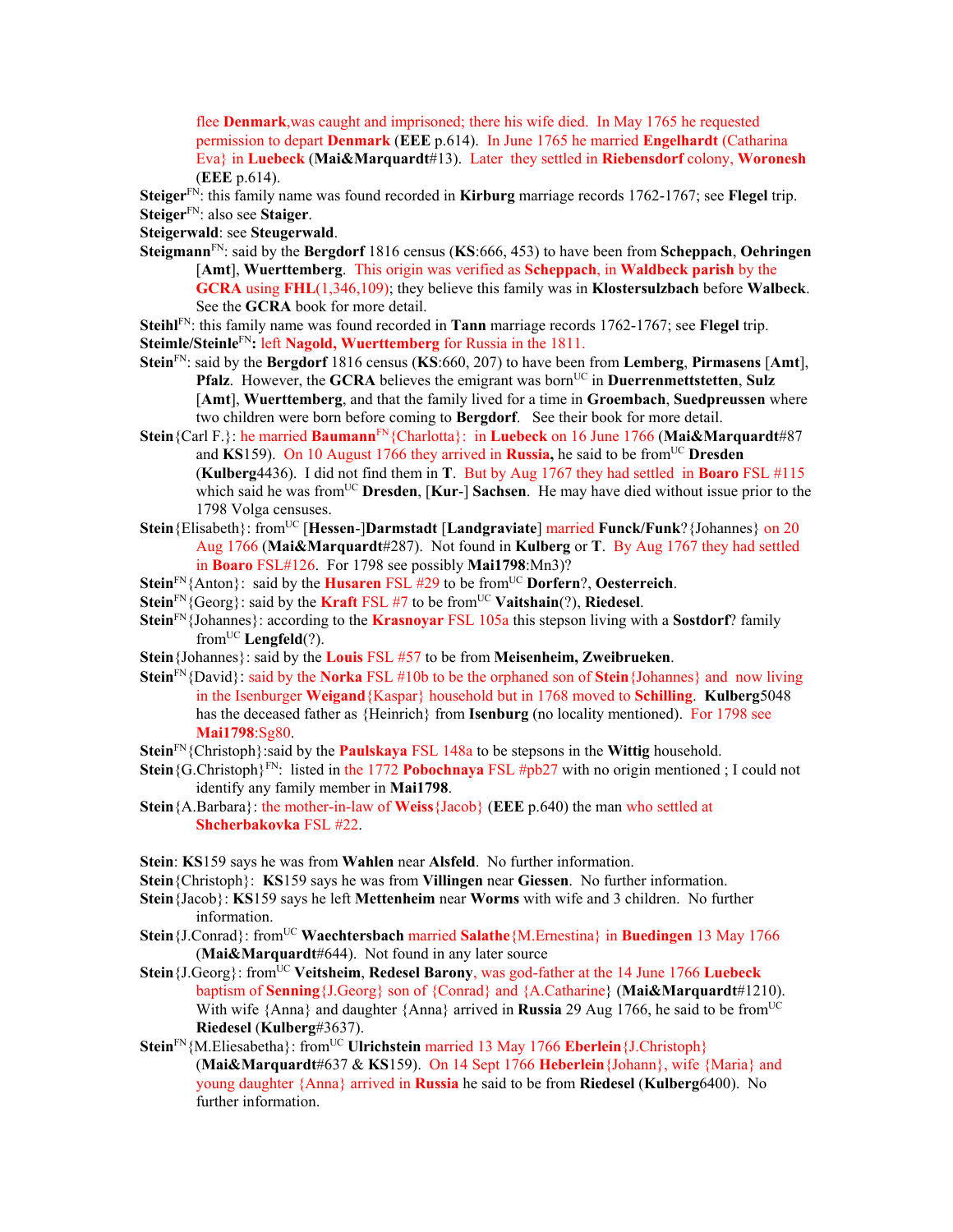flee **Denmark**,was caught and imprisoned; there his wife died. In May 1765 he requested permission to depart **Denmark** (**EEE** p.614). In June 1765 he married **Engelhardt** (Catharina Eva} in **Luebeck** (**Mai&Marquardt**#13). Later they settled in **Riebensdorf** colony, **Woronesh** (**EEE** p.614).

**Steiger**FN: this family name was found recorded in **Kirburg** marriage records 1762-1767; see **Flegel** trip. **Steiger**FN: also see **Staiger**.

**Steigerwald**: see **Steugerwald**.

**Steigmann**FN: said by the **Bergdorf** 1816 census (**KS**:666, 453) to have been from **Scheppach**, **Oehringen** [**Amt**], **Wuerttemberg**. This origin was verified as **Scheppach**, in **Waldbeck parish** by the **GCRA** using **FHL**(1,346,109); they believe this family was in **Klostersulzbach** before **Walbeck**. See the **GCRA** book for more detail.

**Steihl**FN: this family name was found recorded in **Tann** marriage records 1762-1767; see **Flegel** trip. **Steimle/Steinle**FN**:** left **Nagold, Wuerttemberg** for Russia in the 1811.

- **Stein**FN: said by the **Bergdorf** 1816 census (**KS**:660, 207) to have been from **Lemberg**, **Pirmasens** [**Amt**], **Pfalz**. However, the **GCRA** believes the emigrant was born<sup>UC</sup> in **Duerrenmettstetten**, **Sulz** [**Amt**], **Wuerttemberg**, and that the family lived for a time in **Groembach**, **Suedpreussen** where two children were born before coming to **Bergdorf**. See their book for more detail.
- **Stein**{Carl F.}: he married **Baumann**FN{Charlotta}: in **Luebeck** on 16 June 1766 (**Mai&Marquardt**#87 and KS159). On 10 August 1766 they arrived in Russia, he said to be from<sup>UC</sup> Dresden (**Kulberg**4436). I did not find them in **T**. But by Aug 1767 they had settled in **Boaro** FSL #115 which said he was from<sup>UC</sup> **Dresden, [Kur-] Sachsen**. He may have died without issue prior to the 1798 Volga censuses.
- **Stein**{Elisabeth}: fromUC [**Hessen**-]**Darmstadt** [**Landgraviate**] married **Funck/Funk**?{Johannes} on 20 Aug 1766 (**Mai&Marquardt**#287). Not found in **Kulberg** or **T**. By Aug 1767 they had settled in **Boaro** FSL#126. For 1798 see possibly **Mai1798**:Mn3)?
- **Stein**FN{Anton}: said by the **Husaren** FSL #29 to be fromUC **Dorfern**?, **Oesterreich**.
- **Stein**<sup>FN</sup>{Georg}: said by the **Kraft** FSL #7 to be from<sup>UC</sup> **Vaitshain**(?), **Riedesel**.
- **Stein**FN{Johannes}: according to the **Krasnoyar** FSL 105a this stepson living with a **Sostdorf**? family fromUC **Lengfeld**(?).
- **Stein**{Johannes}: said by the **Louis** FSL #57 to be from **Meisenheim, Zweibrueken**.
- **Stein**FN{David}: said by the **Norka** FSL #10b to be the orphaned son of **Stein**{Johannes} and now living in the Isenburger **Weigand**{Kaspar} household but in 1768 moved to **Schilling**. **Kulberg**5048 has the deceased father as {Heinrich} from **Isenburg** (no locality mentioned). For 1798 see **Mai1798**:Sg80.
- **Stein**FN{Christoph}:said by the **Paulskaya** FSL 148a to be stepsons in the **Wittig** household.
- **Stein**{G.Christoph}<sup>FN</sup>: listed in the 1772 **Pobochnaya** FSL #pb27 with no origin mentioned; I could not identify any family member in **Mai1798**.
- **Stein**{A.Barbara}: the mother-in-law of **Weiss**{Jacob} (**EEE** p.640) the man who settled at **Shcherbakovka** FSL #22.

**Stein**: **KS**159 says he was from **Wahlen** near **Alsfeld**. No further information.

- **Stein**{Christoph}: **KS**159 says he was from **Villingen** near **Giessen**. No further information.
- **Stein**{Jacob}: **KS**159 says he left **Mettenheim** near **Worms** with wife and 3 children. No further information.
- **Stein**{J.Conrad}: fromUC **Waechtersbach** married **Salathe**{M.Ernestina} in **Buedingen** 13 May 1766 (**Mai&Marquardt**#644). Not found in any later source
- **Stein** {**J.Georg**}: from<sup>UC</sup> **Veitsheim, Redesel Barony**, was god-father at the 14 June 1766 **Luebeck** baptism of **Senning**{J.Georg} son of {Conrad} and {A.Catharine} (**Mai&Marquardt**#1210). With wife  $\{\text{Anna}\}\$  and daughter  $\{\text{Anna}\}\$  arrived in **Russia** 29 Aug 1766, he said to be from<sup>UC</sup> **Riedesel** (**Kulberg**#3637).
- **Stein**<sup>FN</sup>{M.Eliesabetha}: from<sup>UC</sup> **Ulrichstein** married 13 May 1766 **Eberlein**{J.Christoph} (**Mai&Marquardt**#637 & **KS**159). On 14 Sept 1766 **Heberlein**{Johann}, wife {Maria} and young daughter {Anna} arrived in **Russia** he said to be from **Riedesel** (**Kulberg**6400). No further information.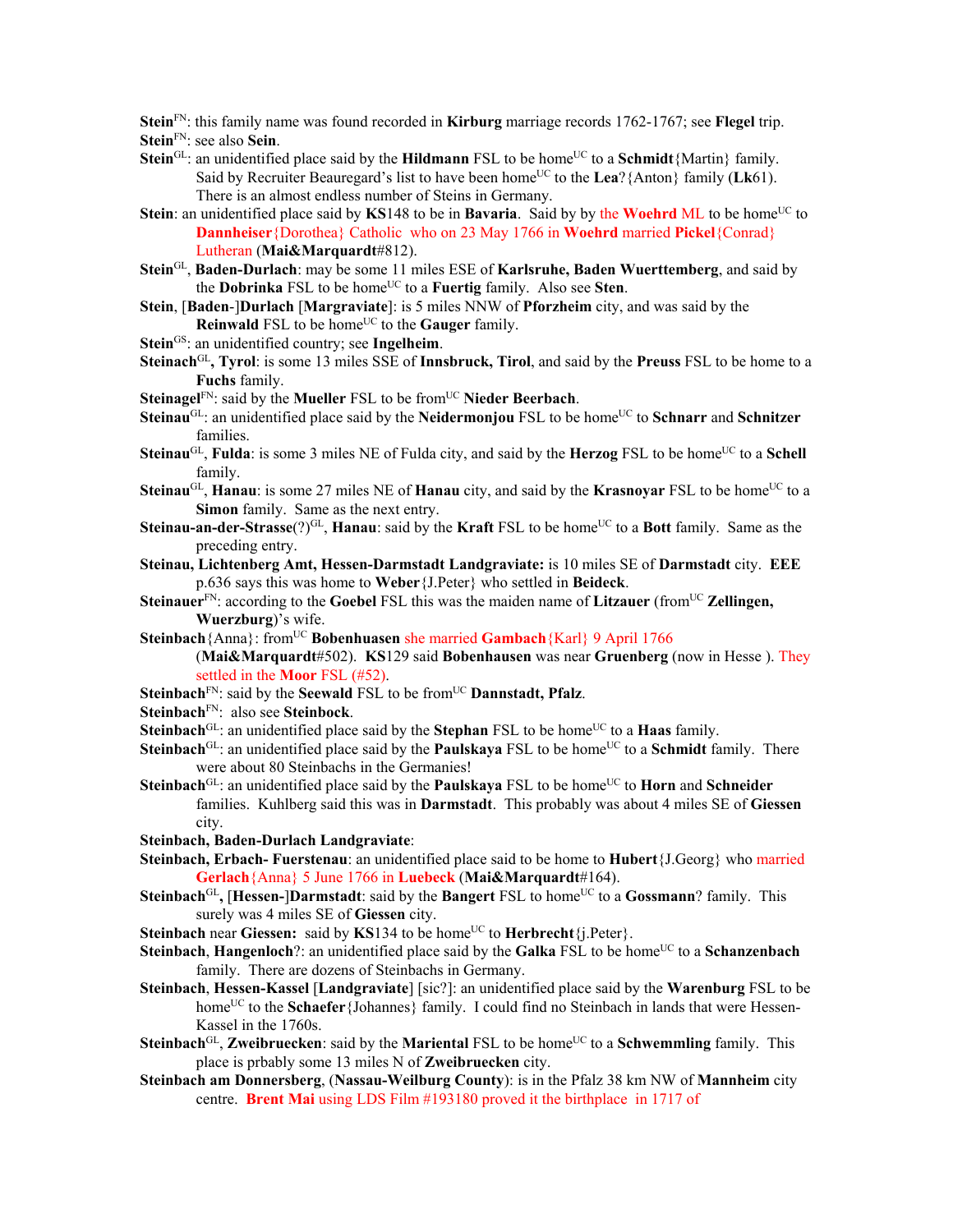**Stein**FN: this family name was found recorded in **Kirburg** marriage records 1762-1767; see **Flegel** trip.

- **Stein**FN: see also **Sein**.
- **Stein**<sup>GL</sup>: an unidentified place said by the **Hildmann** FSL to be home<sup>UC</sup> to a **Schmidt**{Martin} family. Said by Recruiter Beauregard's list to have been home<sup>UC</sup> to the Lea?{Anton} family (Lk61). There is an almost endless number of Steins in Germany.
- **Stein**: an unidentified place said by **KS**148 to be in **Bavaria**. Said by by the **Woehrd** ML to be home<sup>UC</sup> to **Dannheiser**{Dorothea} Catholic who on 23 May 1766 in **Woehrd** married **Pickel**{Conrad} Lutheran (**Mai&Marquardt**#812).
- **Stein**GL, **Baden-Durlach**: may be some 11 miles ESE of **Karlsruhe, Baden Wuerttemberg**, and said by the **Dobrinka** FSL to be homeUC to a **Fuertig** family. Also see **Sten**.
- **Stein**, [**Baden**-]**Durlach** [**Margraviate**]: is 5 miles NNW of **Pforzheim** city, and was said by the **Reinwald** FSL to be home<sup>UC</sup> to the **Gauger** family.
- Stein<sup>GS</sup>: an unidentified country; see Ingelheim.
- **Steinach**GL**, Tyrol**: is some 13 miles SSE of **Innsbruck, Tirol**, and said by the **Preuss** FSL to be home to a **Fuchs** family.
- **Steinagel**<sup>FN</sup>: said by the **Mueller** FSL to be from<sup>UC</sup> **Nieder Beerbach**.
- **Steinau<sup>GL</sup>: an unidentified place said by the <b>Neidermonjou** FSL to be home<sup>UC</sup> to **Schnarr** and **Schnitzer** families.
- **Steinau<sup>GL</sup>, Fulda**: is some 3 miles NE of Fulda city, and said by the **Herzog** FSL to be home<sup>UC</sup> to a **Schell** family.
- **Steinau**<sup>GL</sup>, **Hanau**: is some 27 miles NE of **Hanau** city, and said by the **Krasnovar** FSL to be home<sup>UC</sup> to a **Simon** family. Same as the next entry.
- **Steinau-an-der-Strasse**(?)<sup>GL</sup>, **Hanau**: said by the **Kraft** FSL to be home<sup>UC</sup> to a **Bott** family. Same as the preceding entry.
- **Steinau, Lichtenberg Amt, Hessen-Darmstadt Landgraviate:** is 10 miles SE of **Darmstadt** city. **EEE**  p.636 says this was home to **Weber**{J.Peter} who settled in **Beideck**.
- **Steinauer**<sup>FN</sup>: according to the **Goebel** FSL this was the maiden name of **Litzauer** (from<sup>UC</sup> **Zellingen, Wuerzburg**)'s wife.
- **Steinbach**{Anna}: from<sup>UC</sup> **Bobenhuasen** she married **Gambach**{Karl} 9 April 1766
	- (**Mai&Marquardt**#502). **KS**129 said **Bobenhausen** was near **Gruenberg** (now in Hesse ). They settled in the **Moor** FSL (#52).
- **Steinbach**<sup>FN</sup>: said by the **Seewald** FSL to be from<sup>UC</sup> **Dannstadt, Pfalz**.
- **Steinbach**FN: also see **Steinbock**.
- **Steinbach**<sup>GL</sup>: an unidentified place said by the **Stephan** FSL to be home<sup>UC</sup> to a **Haas** family.
- **Steinbach**<sup>GL</sup>: an unidentified place said by the **Paulskaya** FSL to be home<sup>UC</sup> to a **Schmidt** family. There were about 80 Steinbachs in the Germanies!
- **Steinbach**<sup>GL</sup>: an unidentified place said by the **Paulskaya** FSL to be home<sup>UC</sup> to **Horn** and **Schneider** families. Kuhlberg said this was in **Darmstadt**. This probably was about 4 miles SE of **Giessen** city.
- **Steinbach, Baden-Durlach Landgraviate**:
- **Steinbach, Erbach- Fuerstenau**: an unidentified place said to be home to **Hubert**{J.Georg} who married **Gerlach**{Anna} 5 June 1766 in **Luebeck** (**Mai&Marquardt**#164).
- **Steinbach**<sup>GL</sup>, **[Hessen-]Darmstadt**: said by the **Bangert** FSL to home<sup>UC</sup> to a **Gossmann**? family. This surely was 4 miles SE of **Giessen** city.
- **Steinbach near Giessen:** said by **KS**134 to be home<sup>UC</sup> to **Herbrecht**{i.Peter}.
- **Steinbach**, **Hangenloch**?: an unidentified place said by the **Galka** FSL to be home<sup>UC</sup> to a **Schanzenbach** family. There are dozens of Steinbachs in Germany.
- **Steinbach**, **Hessen-Kassel** [**Landgraviate**] [sic?]: an unidentified place said by the **Warenburg** FSL to be home<sup>UC</sup> to the **Schaefer** {Johannes} family. I could find no Steinbach in lands that were Hessen-Kassel in the 1760s.
- **Steinbach**<sup>GL</sup>, **Zweibruecken**: said by the **Mariental** FSL to be home<sup>UC</sup> to a **Schwemmling** family. This place is prbably some 13 miles N of **Zweibruecken** city.
- **Steinbach am Donnersberg**, (**Nassau-Weilburg County**): is in the Pfalz 38 km NW of **Mannheim** city centre. **Brent Mai** using LDS Film #193180 proved it the birthplace in 1717 of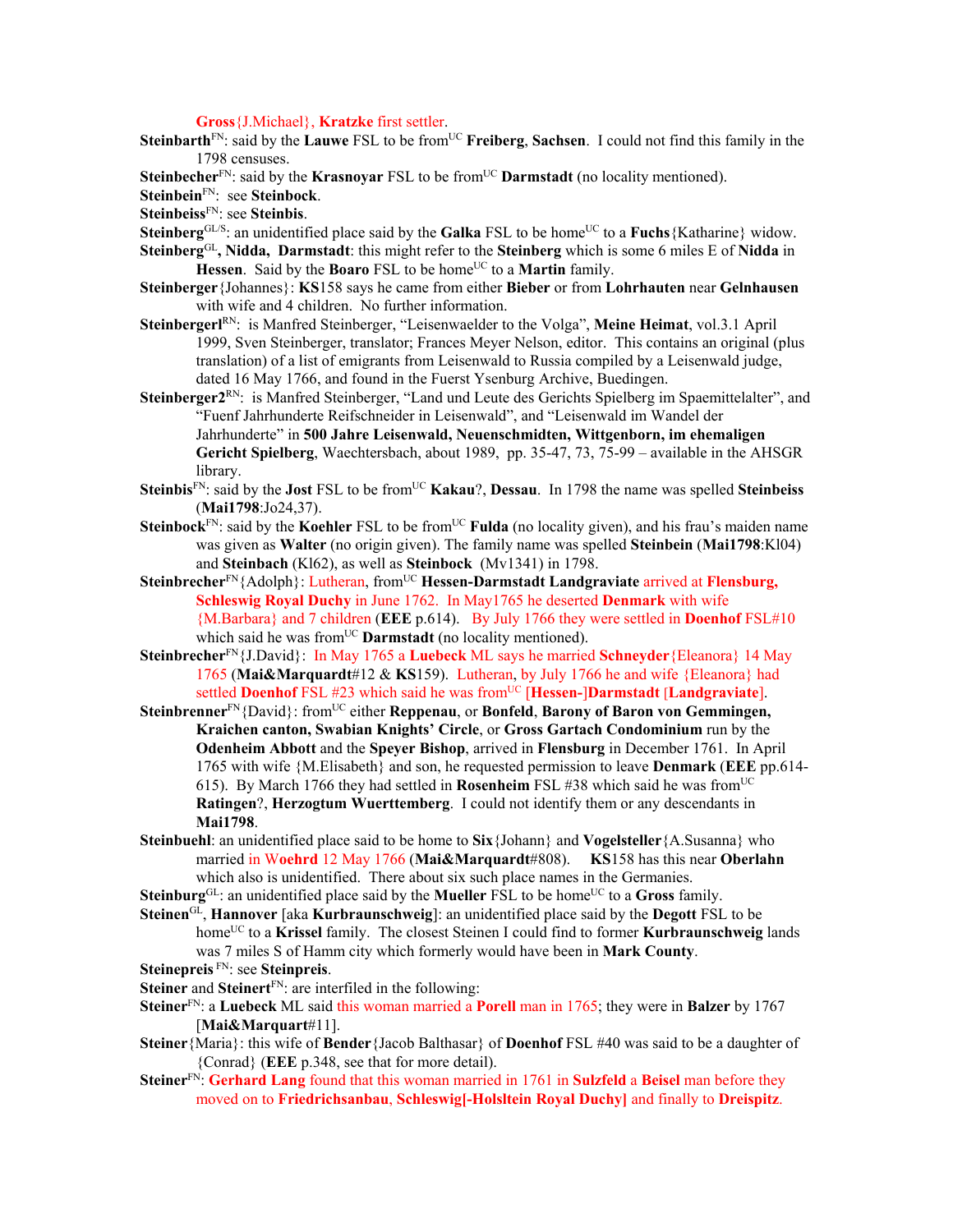**Gross**{J.Michael}, **Kratzke** first settler.

- **Steinbarth**<sup>FN</sup>: said by the **Lauwe** FSL to be from<sup>UC</sup> **Freiberg**, **Sachsen**. I could not find this family in the 1798 censuses.
- **Steinbecher**<sup>FN</sup>: said by the **Krasnoyar** FSL to be from<sup>UC</sup> **Darmstadt** (no locality mentioned).

**Steinbein**FN: see **Steinbock**.

**Steinbeiss**FN: see **Steinbis**.

Steinberg<sup>GL/S</sup>: an unidentified place said by the **Galka** FSL to be home<sup>UC</sup> to a **Fuchs**{Katharine} widow. **Steinberg**GL**, Nidda, Darmstadt**: this might refer to the **Steinberg** which is some 6 miles E of **Nidda** in

**Hessen**. Said by the **Boaro** FSL to be home<sup>UC</sup> to a **Martin** family.

- **Steinberger**{Johannes}: **KS**158 says he came from either **Bieber** or from **Lohrhauten** near **Gelnhausen**  with wife and 4 children. No further information.
- **Steinbergerl**RN: is Manfred Steinberger, "Leisenwaelder to the Volga", **Meine Heimat**, vol.3.1 April 1999, Sven Steinberger, translator; Frances Meyer Nelson, editor. This contains an original (plus translation) of a list of emigrants from Leisenwald to Russia compiled by a Leisenwald judge, dated 16 May 1766, and found in the Fuerst Ysenburg Archive, Buedingen.
- **Steinberger2**RN: is Manfred Steinberger, "Land und Leute des Gerichts Spielberg im Spaemittelalter", and "Fuenf Jahrhunderte Reifschneider in Leisenwald", and "Leisenwald im Wandel der Jahrhunderte" in **500 Jahre Leisenwald, Neuenschmidten, Wittgenborn, im ehemaligen Gericht Spielberg**, Waechtersbach, about 1989, pp. 35-47, 73, 75-99 – available in the AHSGR library.
- **Steinbis**FN: said by the **Jost** FSL to be fromUC **Kakau**?, **Dessau**. In 1798 the name was spelled **Steinbeiss** (**Mai1798**:Jo24,37).
- Steinbock<sup>FN</sup>: said by the Koehler FSL to be from<sup>UC</sup> Fulda (no locality given), and his frau's maiden name was given as **Walter** (no origin given). The family name was spelled **Steinbein** (**Mai1798**:Kl04) and **Steinbach** (Kl62), as well as **Steinbock** (Mv1341) in 1798.
- Steinbrecher<sup>FN</sup>{Adolph}: Lutheran, from<sup>UC</sup> Hessen-Darmstadt Landgraviate arrived at Flensburg, **Schleswig Royal Duchy** in June 1762. In May1765 he deserted **Denmark** with wife {M.Barbara} and 7 children (**EEE** p.614). By July 1766 they were settled in **Doenhof** FSL#10 which said he was from<sup>UC</sup> **Darmstadt** (no locality mentioned).
- **Steinbrecher**FN{J.David}: In May 1765 a **Luebeck** ML says he married **Schneyder**{Eleanora} 14 May 1765 (**Mai&Marquardt**#12 & **KS**159). Lutheran, by July 1766 he and wife {Eleanora} had settled **Doenhof** FSL #23 which said he was from<sup>UC</sup> [Hessen-]Darmstadt [Landgraviate].
- **Steinbrenner**<sup>FN</sup>{David}: from<sup>UC</sup> either **Reppenau**, or **Bonfeld**, **Barony of Baron von Gemmingen, Kraichen canton, Swabian Knights' Circle**, or **Gross Gartach Condominium** run by the **Odenheim Abbott** and the **Speyer Bishop**, arrived in **Flensburg** in December 1761. In April 1765 with wife {M.Elisabeth} and son, he requested permission to leave **Denmark** (**EEE** pp.614- 615). By March 1766 they had settled in **Rosenheim** FSL #38 which said he was from<sup>UC</sup> **Ratingen**?, **Herzogtum Wuerttemberg**. I could not identify them or any descendants in **Mai1798**.
- **Steinbuehl**: an unidentified place said to be home to **Six**{Johann} and **Vogelsteller**{A.Susanna} who married in W**oehrd** 12 May 1766 (**Mai&Marquardt**#808). **KS**158 has this near **Oberlahn** which also is unidentified. There about six such place names in the Germanies.
- **Steinburg**<sup>GL</sup>: an unidentified place said by the **Mueller** FSL to be home<sup>UC</sup> to a **Gross** family.
- **Steinen**GL, **Hannover** [aka **Kurbraunschweig**]: an unidentified place said by the **Degott** FSL to be home<sup>UC</sup> to a **Krissel** family. The closest Steinen I could find to former **Kurbraunschweig** lands was 7 miles S of Hamm city which formerly would have been in **Mark County**.
- **Steinepreis** FN: see **Steinpreis**.
- **Steiner** and **Steinert**FN: are interfiled in the following:
- **Steiner**FN: a **Luebeck** ML said this woman married a **Porell** man in 1765; they were in **Balzer** by 1767 [**Mai&Marquart**#11].
- **Steiner**{Maria}: this wife of **Bender**{Jacob Balthasar} of **Doenhof** FSL #40 was said to be a daughter of {Conrad} (**EEE** p.348, see that for more detail).
- **Steiner**FN: **Gerhard Lang** found that this woman married in 1761 in **Sulzfeld** a **Beisel** man before they moved on to **Friedrichsanbau**, **Schleswig[-Holsltein Royal Duchy]** and finally to **Dreispitz**.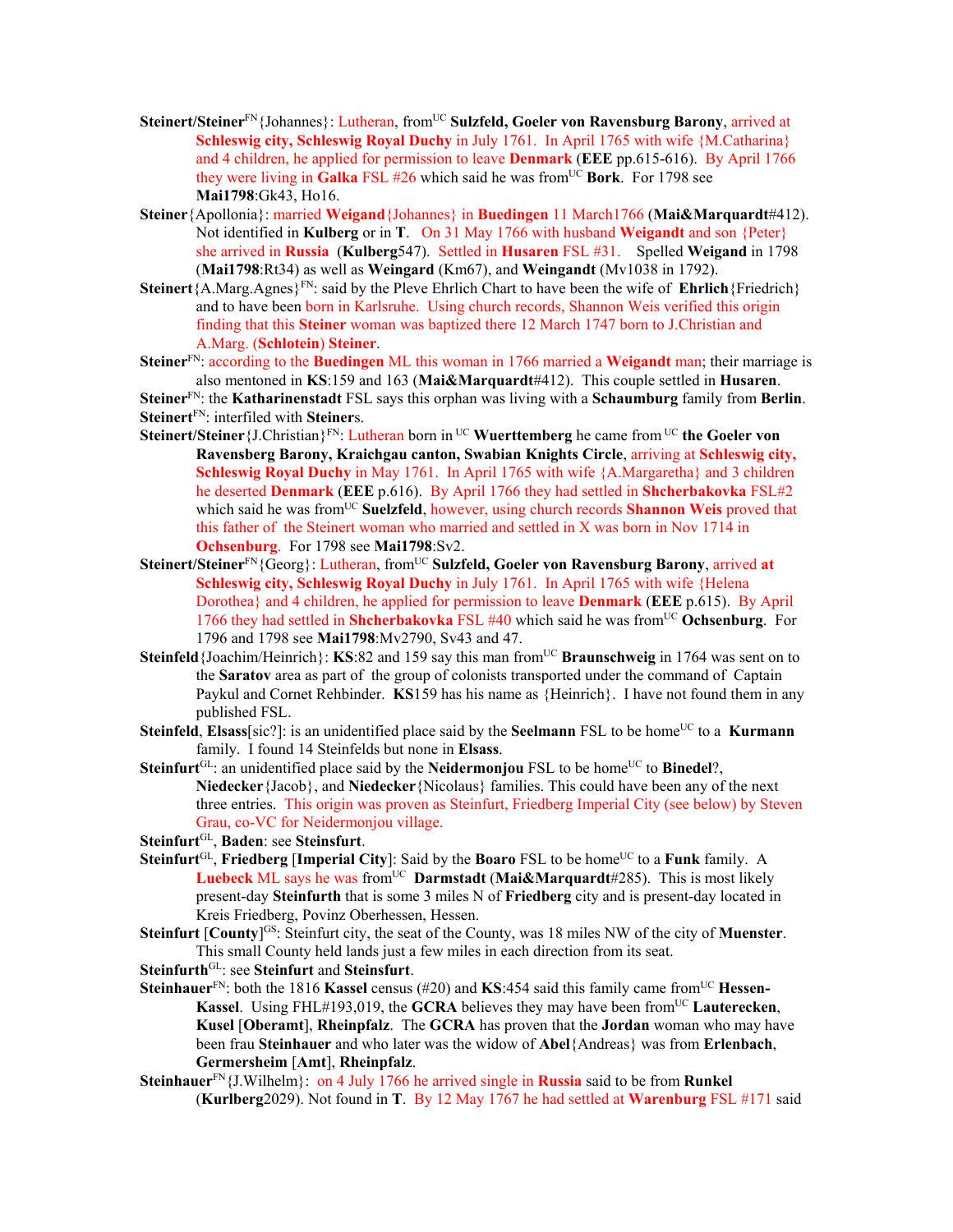- Steinert/Steiner<sup>FN</sup>{Johannes}: Lutheran, from<sup>UC</sup> Sulzfeld, Goeler von Ravensburg Barony, arrived at **Schleswig city, Schleswig Royal Duchy** in July 1761. In April 1765 with wife {M.Catharina} and 4 children, he applied for permission to leave **Denmark** (**EEE** pp.615-616). By April 1766 they were living in **Galka** FSL  $#26$  which said he was from  $^{\text{UC}}$  **Bork**. For 1798 see **Mai1798**:Gk43, Ho16.
- **Steiner**{Apollonia}: married **Weigand**{Johannes} in **Buedingen** 11 March1766 (**Mai&Marquardt**#412). Not identified in **Kulberg** or in **T**. On 31 May 1766 with husband **Weigandt** and son {Peter} she arrived in **Russia** (**Kulberg**547). Settled in **Husaren** FSL #31. Spelled **Weigand** in 1798 (**Mai1798**:Rt34) as well as **Weingard** (Km67), and **Weingandt** (Mv1038 in 1792).
- **Steinert** ${A.Marg.Agnes}^{FN}$ : said by the Pleve Ehrlich Chart to have been the wife of **Ehrlich** ${Friedrich}$ and to have been born in Karlsruhe. Using church records, Shannon Weis verified this origin finding that this **Steiner** woman was baptized there 12 March 1747 born to J.Christian and A.Marg. (**Schlotein**) **Steiner**.
- **Steiner**FN: according to the **Buedingen** ML this woman in 1766 married a **Weigandt** man; their marriage is also mentoned in **KS**:159 and 163 (**Mai&Marquardt**#412). This couple settled in **Husaren**.

**Steiner**FN: the **Katharinenstadt** FSL says this orphan was living with a **Schaumburg** family from **Berlin**. **Steinert**FN: interfiled with **Steiner**s.

- Steinert/Steiner {J.Christian}<sup>FN</sup>: Lutheran born in <sup>UC</sup> Wuerttemberg he came from <sup>UC</sup> the Goeler von **Ravensberg Barony, Kraichgau canton, Swabian Knights Circle**, arriving at **Schleswig city, Schleswig Royal Duchy** in May 1761. In April 1765 with wife {A.Margaretha} and 3 children he deserted **Denmark** (**EEE** p.616). By April 1766 they had settled in **Shcherbakovka** FSL#2 which said he was from<sup>UC</sup> Suelzfeld, however, using church records Shannon Weis proved that this father of the Steinert woman who married and settled in X was born in Nov 1714 in **Ochsenburg**. For 1798 see **Mai1798**:Sv2.
- Steinert/Steiner<sup>FN</sup>{Georg}: Lutheran, from<sup>UC</sup> Sulzfeld, Goeler von Ravensburg Barony, arrived at **Schleswig city, Schleswig Royal Duchy** in July 1761. In April 1765 with wife {Helena Dorothea} and 4 children, he applied for permission to leave **Denmark** (**EEE** p.615). By April 1766 they had settled in **Shcherbakovka** FSL #40 which said he was fromUC **Ochsenburg**. For 1796 and 1798 see **Mai1798**:Mv2790, Sv43 and 47.
- **Steinfeld**{Joachim/Heinrich}: **KS**:82 and 159 say this man fromUC **Braunschweig** in 1764 was sent on to the **Saratov** area as part of the group of colonists transported under the command of Captain Paykul and Cornet Rehbinder. **KS**159 has his name as {Heinrich}. I have not found them in any published FSL.
- **Steinfeld**, **Elsass**[sic?]: is an unidentified place said by the **Seelmann** FSL to be home<sup>UC</sup> to a **Kurmann** family. I found 14 Steinfelds but none in **Elsass**.
- **Steinfurt**<sup>GL</sup>: an unidentified place said by the **Neidermonjou** FSL to be home<sup>UC</sup> to **Binedel**?, **Niedecker**{Jacob}, and **Niedecker**{Nicolaus} families. This could have been any of the next three entries. This origin was proven as Steinfurt, Friedberg Imperial City (see below) by Steven Grau, co-VC for Neidermonjou village.

**Steinfurt**GL, **Baden**: see **Steinsfurt**.

- **Steinfurt**<sup>GL</sup>, Friedberg [Imperial City]: Said by the **Boaro** FSL to be home<sup>UC</sup> to a Funk family. A **Luebeck** ML says he was from<sup>UC</sup> **Darmstadt** (Mai&Marquardt#285). This is most likely present-day **Steinfurth** that is some 3 miles N of **Friedberg** city and is present-day located in Kreis Friedberg, Povinz Oberhessen, Hessen.
- **Steinfurt** [County]<sup>GS</sup>: Steinfurt city, the seat of the County, was 18 miles NW of the city of **Muenster**. This small County held lands just a few miles in each direction from its seat.
- **Steinfurth**GL: see **Steinfurt** and **Steinsfurt**.
- Steinhauer<sup>FN</sup>: both the 1816 Kassel census (#20) and KS:454 said this family came from<sup>UC</sup> Hessen-**Kassel.** Using FHL#193,019, the **GCRA** believes they may have been from<sup>UC</sup> Lauterecken, **Kusel** [**Oberamt**], **Rheinpfalz**. The **GCRA** has proven that the **Jordan** woman who may have been frau **Steinhauer** and who later was the widow of **Abel**{Andreas} was from **Erlenbach**, **Germersheim** [**Amt**], **Rheinpfalz**.
- **Steinhauer**FN{J.Wilhelm}: on 4 July 1766 he arrived single in **Russia** said to be from **Runkel**  (**Kurlberg**2029). Not found in **T**. By 12 May 1767 he had settled at **Warenburg** FSL #171 said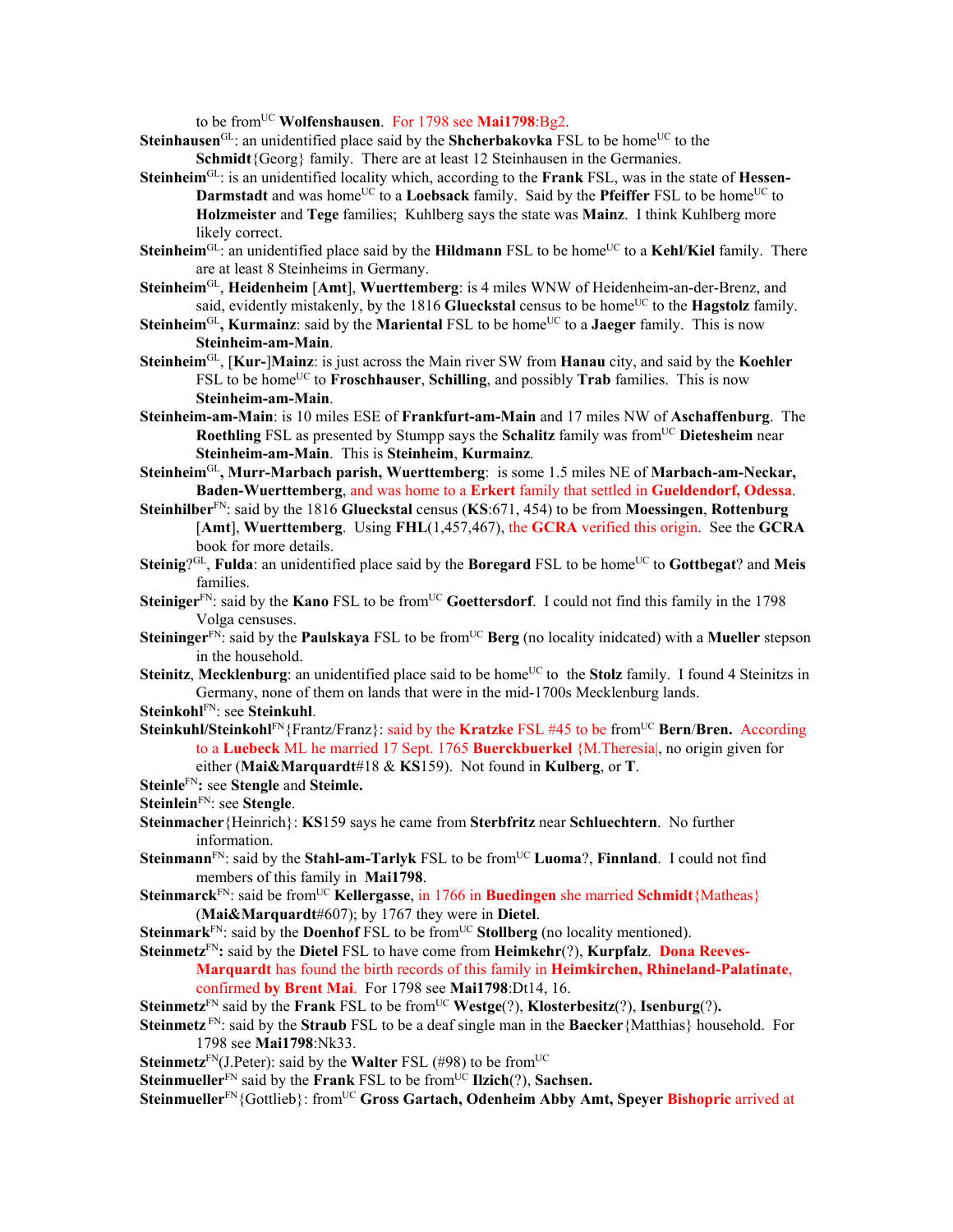to be fromUC **Wolfenshausen**. For 1798 see **Mai1798**:Bg2.

- **Steinhausen**<sup>GL</sup>: an unidentified place said by the **Shcherbakovka** FSL to be home<sup>UC</sup> to the **Schmidt**{Georg} family. There are at least 12 Steinhausen in the Germanies.
- **Steinheim**GL: is an unidentified locality which, according to the **Frank** FSL, was in the state of **Hessen-Darmstadt** and was home<sup>UC</sup> to a **Loebsack** family. Said by the **Pfeiffer** FSL to be home<sup>UC</sup> to **Holzmeister** and **Tege** families; Kuhlberg says the state was **Mainz**. I think Kuhlberg more likely correct.
- **Steinheim**<sup>GL</sup>: an unidentified place said by the **Hildmann** FSL to be home<sup>UC</sup> to a **Kehl/Kiel** family. There are at least 8 Steinheims in Germany.
- **Steinheim**GL, **Heidenheim** [**Amt**], **Wuerttemberg**: is 4 miles WNW of Heidenheim-an-der-Brenz, and said, evidently mistakenly, by the 1816 Glueckstal census to be home<sup>UC</sup> to the **Hagstolz** family.
- **Steinheim<sup>GL</sup>, Kurmainz**: said by the **Mariental** FSL to be home<sup>UC</sup> to a **Jaeger** family. This is now **Steinheim-am-Main**.
- **Steinheim**GL, [**Kur-**]**Mainz**: is just across the Main river SW from **Hanau** city, and said by the **Koehler** FSL to be home<sup>UC</sup> to **Froschhauser**, **Schilling**, and possibly **Trab** families. This is now **Steinheim-am-Main**.
- **Steinheim-am-Main**: is 10 miles ESE of **Frankfurt-am-Main** and 17 miles NW of **Aschaffenburg**. The **Roethling** FSL as presented by Stumpp says the **Schalitz** family was fromUC **Dietesheim** near **Steinheim-am-Main**. This is **Steinheim**, **Kurmainz**.
- **Steinheim**GL**, Murr-Marbach parish, Wuerttemberg**: is some 1.5 miles NE of **Marbach-am-Neckar, Baden-Wuerttemberg**, and was home to a **Erkert** family that settled in **Gueldendorf, Odessa**.
- **Steinhilber**FN: said by the 1816 **Glueckstal** census (**KS**:671, 454) to be from **Moessingen**, **Rottenburg** [**Amt**], **Wuerttemberg**. Using **FHL**(1,457,467), the **GCRA** verified this origin. See the **GCRA** book for more details.
- Steinig?<sup>GL</sup>, Fulda: an unidentified place said by the Boregard FSL to be home<sup>UC</sup> to Gottbegat? and Meis families.
- **Steiniger**<sup>FN</sup>: said by the **Kano** FSL to be from<sup>UC</sup> Goettersdorf. I could not find this family in the 1798 Volga censuses.
- **Steininger**<sup>FN</sup>: said by the **Paulskaya** FSL to be from<sup>UC</sup> **Berg** (no locality inidcated) with a **Mueller** stepson in the household.
- **Steinitz**, Mecklenburg: an unidentified place said to be home<sup>UC</sup> to the **Stolz** family. I found 4 Steinitzs in Germany, none of them on lands that were in the mid-1700s Mecklenburg lands.
- **Steinkohl**FN: see **Steinkuhl**.
- **Steinkuhl/Steinkohl<sup>FN</sup>{Frantz/Franz}: said by the <b>Kratzke** FSL #45 to be from<sup>UC</sup> **Bern/Bren.** According to a **Luebeck** ML he married 17 Sept. 1765 **Buerckbuerkel** {M.Theresia|, no origin given for either (**Mai&Marquardt**#18 & **KS**159). Not found in **Kulberg**, or **T**.
- **Steinle**FN**:** see **Stengle** and **Steimle.**
- **Steinlein**FN: see **Stengle**.
- **Steinmacher**{Heinrich}: **KS**159 says he came from **Sterbfritz** near **Schluechtern**. No further information.
- **Steinmann**<sup>FN</sup>: said by the **Stahl-am-Tarlyk** FSL to be from<sup>UC</sup> **Luoma**?, **Finnland**. I could not find members of this family in **Mai1798**.
- **Steinmarck**<sup>FN</sup>: said be from<sup>UC</sup> **Kellergasse**, in 1766 in **Buedingen** she married **Schmidt**{Matheas} (**Mai&Marquardt**#607); by 1767 they were in **Dietel**.
- **Steinmark**<sup>FN</sup>: said by the **Doenhof** FSL to be from<sup>UC</sup> **Stollberg** (no locality mentioned).
- **Steinmetz**FN**:** said by the **Dietel** FSL to have come from **Heimkehr**(?), **Kurpfalz**. **Dona Reeves-Marquardt** has found the birth records of this family in **Heimkirchen, Rhineland-Palatinate**, confirmed **by Brent Mai**. For 1798 see **Mai1798**:Dt14, 16.
- **Steinmetz**<sup>FN</sup> said by the **Frank** FSL to be from<sup>UC</sup>**Westge**(?), **Klosterbesitz**(?), **Isenburg**(?).
- **Steinmetz** FN: said by the **Straub** FSL to be a deaf single man in the **Baecker**{Matthias} household. For 1798 see **Mai1798**:Nk33.
- **Steinmetz**<sup>FN</sup>(J.Peter): said by the **Walter** FSL (#98) to be from<sup>UC</sup>
- **Steinmueller**<sup>FN</sup> said by the **Frank** FSL to be from<sup>UC</sup> **Ilzich**(?), **Sachsen.**

**Steinmueller**FN{Gottlieb}: fromUC **Gross Gartach, Odenheim Abby Amt, Speyer Bishopric** arrived at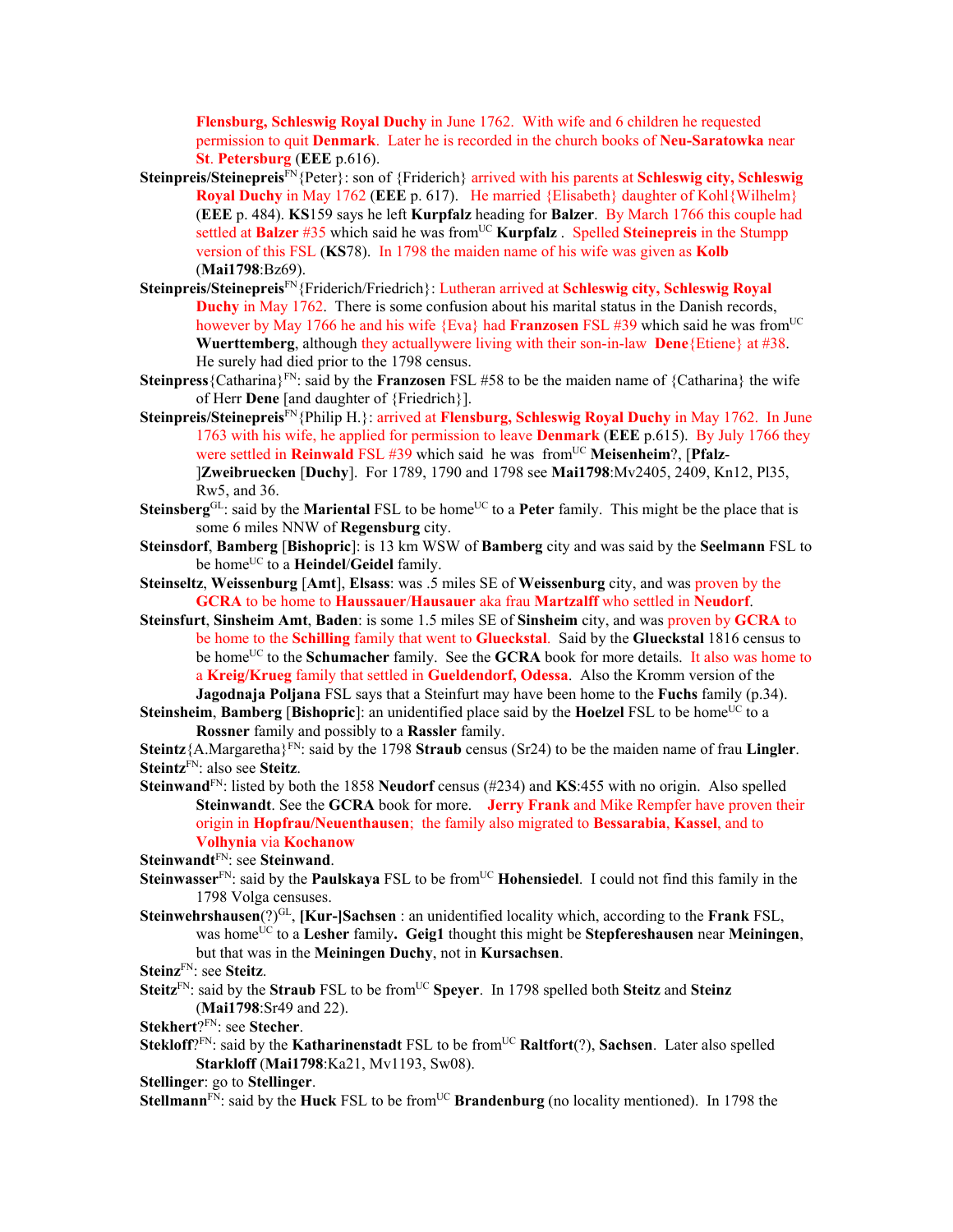**Flensburg, Schleswig Royal Duchy** in June 1762. With wife and 6 children he requested permission to quit **Denmark**. Later he is recorded in the church books of **Neu-Saratowka** near **St**. **Petersburg** (**EEE** p.616).

- **Steinpreis/Steinepreis**FN{Peter}: son of {Friderich} arrived with his parents at **Schleswig city, Schleswig Royal Duchy** in May 1762 (**EEE** p. 617). He married {Elisabeth} daughter of Kohl{Wilhelm} (**EEE** p. 484). **KS**159 says he left **Kurpfalz** heading for **Balzer**. By March 1766 this couple had settled at **Balzer** #35 which said he was from<sup>UC</sup> **Kurpfalz** . Spelled **Steinepreis** in the Stumpp version of this FSL (**KS**78). In 1798 the maiden name of his wife was given as **Kolb** (**Mai1798**:Bz69).
- **Steinpreis/Steinepreis**FN{Friderich/Friedrich}: Lutheran arrived at **Schleswig city, Schleswig Royal Duchy** in May 1762. There is some confusion about his marital status in the Danish records, however by May 1766 he and his wife {Eva} had **Franzosen** FSL #39 which said he was from<sup>UC</sup> **Wuerttemberg**, although they actuallywere living with their son-in-law **Dene**{Etiene} at #38. He surely had died prior to the 1798 census.
- **Steinpress**{Catharina}FN: said by the **Franzosen** FSL #58 to be the maiden name of {Catharina} the wife of Herr **Dene** [and daughter of {Friedrich}].
- **Steinpreis/Steinepreis**FN{Philip H.}: arrived at **Flensburg, Schleswig Royal Duchy** in May 1762. In June 1763 with his wife, he applied for permission to leave **Denmark** (**EEE** p.615). By July 1766 they were settled in **Reinwald** FSL #39 which said he was from<sup>UC</sup> Meisenheim?, [Pfalz-]**Zweibruecken** [**Duchy**]. For 1789, 1790 and 1798 see **Mai1798**:Mv2405, 2409, Kn12, Pl35, Rw5, and 36.
- **Steinsberg**GL: said by the **Mariental** FSL to be home<sup>UC</sup> to a **Peter** family. This might be the place that is some 6 miles NNW of **Regensburg** city.
- **Steinsdorf**, **Bamberg** [**Bishopric**]: is 13 km WSW of **Bamberg** city and was said by the **Seelmann** FSL to be home<sup>UC</sup> to a **Heindel/Geidel** family.
- **Steinseltz**, **Weissenburg** [**Amt**], **Elsass**: was .5 miles SE of **Weissenburg** city, and was proven by the **GCRA** to be home to **Haussauer**/**Hausauer** aka frau **Martzalff** who settled in **Neudorf**.
- **Steinsfurt**, **Sinsheim Amt**, **Baden**: is some 1.5 miles SE of **Sinsheim** city, and was proven by **GCRA** to be home to the **Schilling** family that went to **Glueckstal**. Said by the **Glueckstal** 1816 census to be home<sup>UC</sup> to the **Schumacher** family. See the **GCRA** book for more details. It also was home to a **Kreig/Krueg** family that settled in **Gueldendorf, Odessa**. Also the Kromm version of the **Jagodnaja Poljana** FSL says that a Steinfurt may have been home to the **Fuchs** family (p.34).

**Steinsheim, Bamberg [Bishopric**]: an unidentified place said by the **Hoelzel** FSL to be home<sup>UC</sup> to a **Rossner** family and possibly to a **Rassler** family.

**Steintz**{A.Margaretha}<sup>FN</sup>: said by the 1798 **Straub** census (Sr24) to be the maiden name of frau **Lingler**. **Steintz**FN: also see **Steitz**.

**Steinwand**FN: listed by both the 1858 **Neudorf** census (#234) and **KS**:455 with no origin. Also spelled **Steinwandt**. See the **GCRA** book for more. **Jerry Frank** and Mike Rempfer have proven their origin in **Hopfrau/Neuenthausen**; the family also migrated to **Bessarabia**, **Kassel**, and to **Volhynia** via **Kochanow**

**Steinwandt**FN: see **Steinwand**.

- **Steinwasser**<sup>FN</sup>: said by the **Paulskaya** FSL to be from<sup>UC</sup> **Hohensiedel**. I could not find this family in the 1798 Volga censuses.
- **Steinwehrshausen**(?)GL, **[Kur-]Sachsen** : an unidentified locality which, according to the **Frank** FSL, was homeUC to a **Lesher** family**. Geig1** thought this might be **Stepfereshausen** near **Meiningen**, but that was in the **Meiningen Duchy**, not in **Kursachsen**.
- **Steinz**FN: see **Steitz**.
- **Steitz**<sup>FN</sup>: said by the **Straub** FSL to be from<sup>UC</sup> **Speyer**. In 1798 spelled both **Steitz** and **Steinz** (**Mai1798**:Sr49 and 22).
- **Stekhert**?FN: see **Stecher**.
- **Stekloff**?<sup>FN</sup>: said by the **Katharinenstadt** FSL to be from<sup>UC</sup> **Raltfort**(?), **Sachsen**. Later also spelled **Starkloff** (**Mai1798**:Ka21, Mv1193, Sw08).

**Stellinger**: go to **Stellinger**.

**Stellmann**<sup>FN</sup>: said by the **Huck** FSL to be from<sup>UC</sup> **Brandenburg** (no locality mentioned). In 1798 the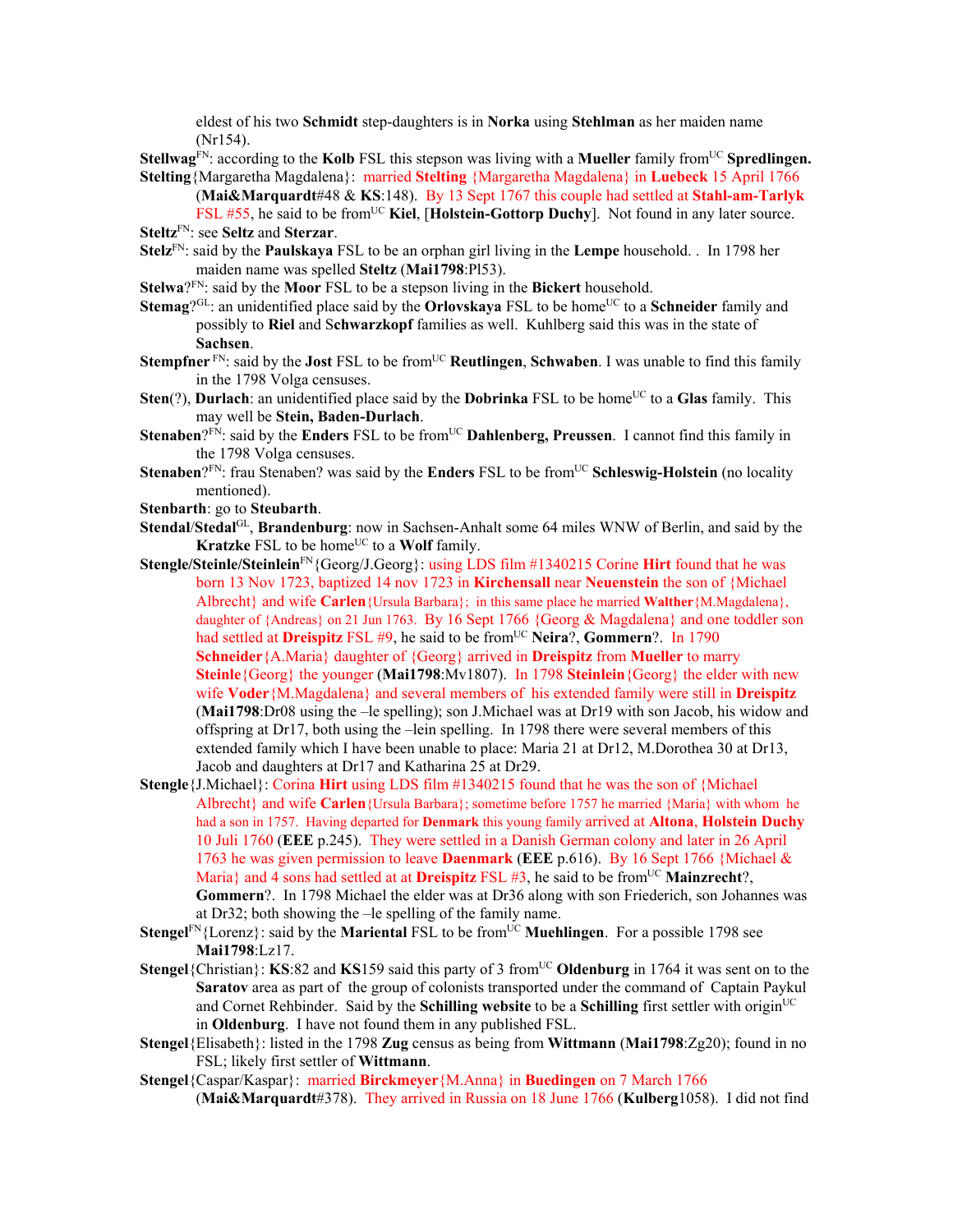eldest of his two **Schmidt** step-daughters is in **Norka** using **Stehlman** as her maiden name (Nr154).

**Stellwag**<sup>FN</sup>: according to the **Kolb** FSL this stepson was living with a **Mueller** family from<sup>UC</sup> **Spredlingen. Stelting**{Margaretha Magdalena}: married **Stelting** {Margaretha Magdalena} in **Luebeck** 15 April 1766

(**Mai&Marquardt**#48 & **KS**:148). By 13 Sept 1767 this couple had settled at **Stahl-am-Tarlyk**

- FSL #55, he said to be from<sup>UC</sup> Kiel, [Holstein-Gottorp Duchy]. Not found in any later source. **Steltz**FN: see **Seltz** and **Sterzar**.
- **Stelz**FN: said by the **Paulskaya** FSL to be an orphan girl living in the **Lempe** household. . In 1798 her maiden name was spelled **Steltz** (**Mai1798**:Pl53).
- **Stelwa**?FN: said by the **Moor** FSL to be a stepson living in the **Bickert** household.
- **Stemag**<sup>QL:</sup> an unidentified place said by the **Orlovskaya** FSL to be home<sup>UC</sup> to a **Schneider** family and possibly to **Riel** and S**chwarzkopf** families as well. Kuhlberg said this was in the state of **Sachsen**.
- **Stempfner** FN: said by the **Jost** FSL to be from<sup>UC</sup> **Reutlingen**, **Schwaben**. I was unable to find this family in the 1798 Volga censuses.
- **Sten**(?), **Durlach**: an unidentified place said by the **Dobrinka** FSL to be home<sup>UC</sup> to a Glas family. This may well be **Stein, Baden-Durlach**.
- **Stenaben**?<sup>FN</sup>: said by the **Enders** FSL to be from<sup>UC</sup> **Dahlenberg, Preussen**. I cannot find this family in the 1798 Volga censuses.
- **Stenaben**?<sup>FN</sup>: frau Stenaben? was said by the **Enders** FSL to be from<sup>UC</sup> **Schleswig-Holstein** (no locality mentioned).
- **Stenbarth**: go to **Steubarth**.
- **Stendal**/**Stedal**GL, **Brandenburg**: now in Sachsen-Anhalt some 64 miles WNW of Berlin, and said by the **Kratzke** FSL to be home<sup>UC</sup> to a **Wolf** family.
- **Stengle/Steinle/Steinlein**FN{Georg/J.Georg}: using LDS film #1340215 Corine **Hirt** found that he was born 13 Nov 1723, baptized 14 nov 1723 in **Kirchensall** near **Neuenstein** the son of {Michael Albrecht} and wife **Carlen**{Ursula Barbara}; in this same place he married **Walther**{M.Magdalena}, daughter of {Andreas} on 21 Jun 1763. By 16 Sept 1766 {Georg & Magdalena} and one toddler son had settled at **Dreispitz** FSL #9, he said to be from<sup>UC</sup> **Neira**?, **Gommern**?. In 1790 **Schneider**{A.Maria} daughter of {Georg} arrived in **Dreispitz** from **Mueller** to marry **Steinle**{Georg} the younger (**Mai1798**:Mv1807). In 1798 **Steinlein**{Georg} the elder with new wife **Voder**{M.Magdalena} and several members of his extended family were still in **Dreispitz**  (**Mai1798**:Dr08 using the –le spelling); son J.Michael was at Dr19 with son Jacob, his widow and offspring at Dr17, both using the –lein spelling. In 1798 there were several members of this extended family which I have been unable to place: Maria 21 at Dr12, M.Dorothea 30 at Dr13, Jacob and daughters at Dr17 and Katharina 25 at Dr29.
- **Stengle**{J.Michael}: Corina **Hirt** using LDS film #1340215 found that he was the son of {Michael Albrecht} and wife **Carlen**{Ursula Barbara}; sometime before 1757 he married {Maria} with whom he had a son in 1757. Having departed for **Denmark** this young family arrived at **Altona**, **Holstein Duchy**  10 Juli 1760 (**EEE** p.245). They were settled in a Danish German colony and later in 26 April 1763 he was given permission to leave **Daenmark** (**EEE** p.616). By 16 Sept 1766 {Michael & Maria} and 4 sons had settled at at **Dreispitz** FSL #3, he said to be from<sup>UC</sup> **Mainzrecht**?, **Gommern**?. In 1798 Michael the elder was at Dr36 along with son Friederich, son Johannes was at Dr32; both showing the –le spelling of the family name.
- **Stengel**FN{Lorenz}: said by the **Mariental** FSL to be fromUC **Muehlingen**. For a possible 1798 see **Mai1798**:Lz17.
- **Stengel**{Christian}: **KS**:82 and **KS**159 said this party of 3 from<sup>UC</sup> Oldenburg in 1764 it was sent on to the **Saratov** area as part of the group of colonists transported under the command of Captain Paykul and Cornet Rehbinder. Said by the **Schilling website** to be a **Schilling** first settler with origin<sup>UC</sup> in **Oldenburg**. I have not found them in any published FSL.
- **Stengel**{Elisabeth}: listed in the 1798 **Zug** census as being from **Wittmann** (**Mai1798**:Zg20); found in no FSL; likely first settler of **Wittmann**.
- **Stengel**{Caspar/Kaspar}: married **Birckmeyer**{M.Anna} in **Buedingen** on 7 March 1766 (**Mai&Marquardt**#378). They arrived in Russia on 18 June 1766 (**Kulberg**1058). I did not find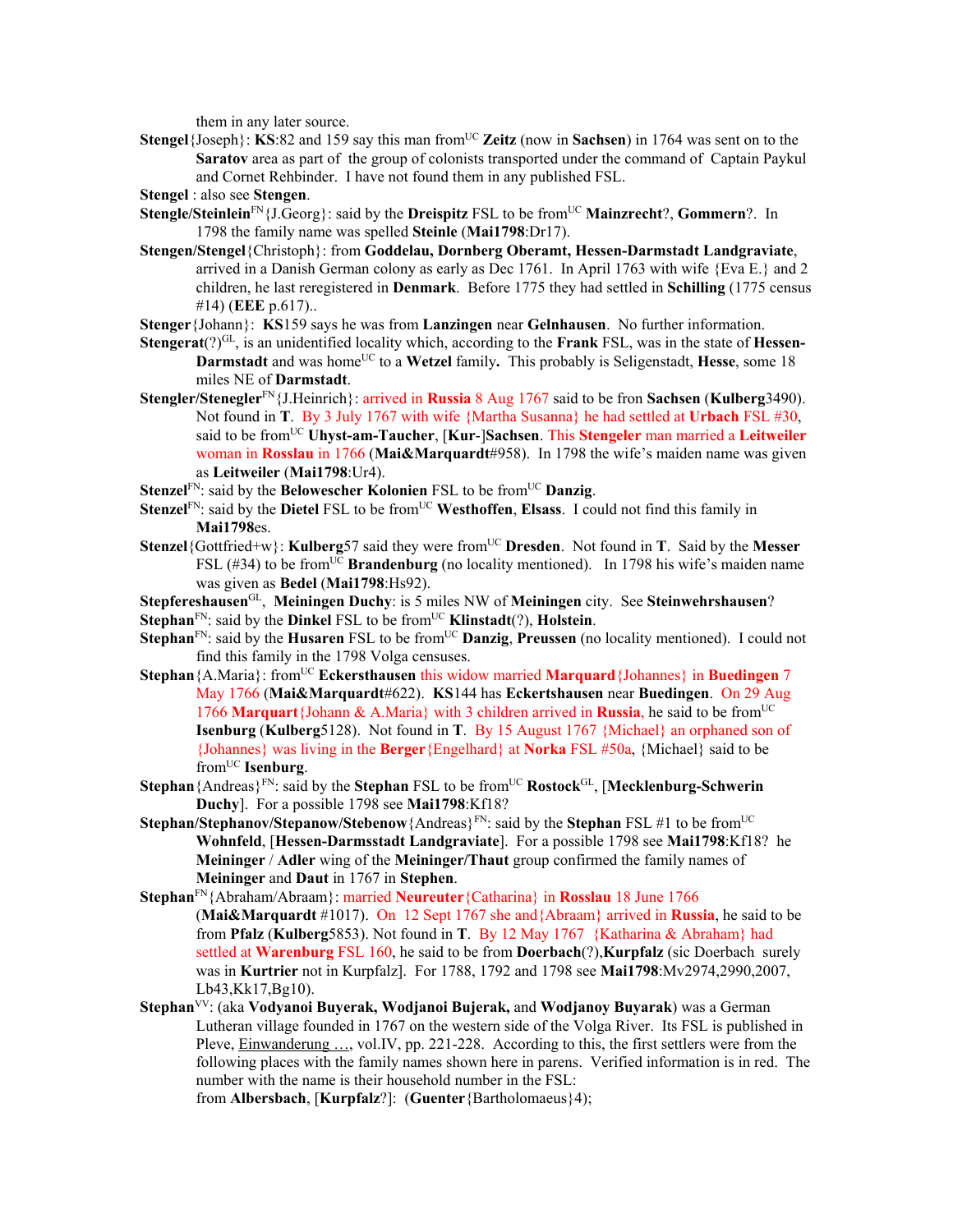them in any later source.

**Stengel**{Joseph}: **KS**:82 and 159 say this man from<sup>UC</sup> Zeitz (now in **Sachsen**) in 1764 was sent on to the **Saratov** area as part of the group of colonists transported under the command of Captain Paykul and Cornet Rehbinder. I have not found them in any published FSL.

**Stengel** : also see **Stengen**.

- **Stengle/Steinlein**FN{J.Georg}: said by the **Dreispitz** FSL to be fromUC **Mainzrecht**?, **Gommern**?. In 1798 the family name was spelled **Steinle** (**Mai1798**:Dr17).
- **Stengen/Stengel**{Christoph}: from **Goddelau, Dornberg Oberamt, Hessen-Darmstadt Landgraviate**, arrived in a Danish German colony as early as Dec 1761. In April 1763 with wife  ${Eva E.}$  and 2 children, he last reregistered in **Denmark**. Before 1775 they had settled in **Schilling** (1775 census #14) (**EEE** p.617)..
- **Stenger**{Johann}: **KS**159 says he was from **Lanzingen** near **Gelnhausen**. No further information.
- Stengerat(?)<sup>GL</sup>, is an unidentified locality which, according to the **Frank** FSL, was in the state of **Hessen-Darmstadt** and was home<sup>UC</sup> to a Wetzel family. This probably is Seligenstadt, Hesse, some 18 miles NE of **Darmstadt**.
- **Stengler/Stenegler**FN{J.Heinrich}: arrived in **Russia** 8 Aug 1767 said to be fron **Sachsen** (**Kulberg**3490). Not found in **T**. By 3 July 1767 with wife {Martha Susanna} he had settled at **Urbach** FSL #30, said to be fromUC **Uhyst-am-Taucher**, [**Kur**-]**Sachsen**. This **Stengeler** man married a **Leitweiler** woman in **Rosslau** in 1766 (**Mai&Marquardt**#958). In 1798 the wife's maiden name was given as **Leitweiler** (**Mai1798**:Ur4).
- **Stenzel**<sup>FN</sup>: said by the **Belowescher Kolonien** FSL to be from<sup>UC</sup> **Danzig**.
- **Stenzel**<sup>FN</sup>: said by the **Dietel** FSL to be from<sup>UC</sup> Westhoffen, Elsass. I could not find this family in **Mai1798**es.
- **Stenzel**{Gottfried+w}: **Kulberg**57 said they were from<sup>UC</sup> Dresden. Not found in **T**. Said by the Messer FSL  $(\#34)$  to be from<sup>UC</sup> **Brandenburg** (no locality mentioned). In 1798 his wife's maiden name was given as **Bedel** (**Mai1798**:Hs92).
- **Stepfereshausen**GL, **Meiningen Duchy**: is 5 miles NW of **Meiningen** city. See **Steinwehrshausen**?
- **Stephan**<sup>FN</sup>: said by the **Dinkel** FSL to be from<sup>UC</sup> **Klinstadt**(?), **Holstein**.
- **Stephan**<sup>FN</sup>: said by the **Husaren** FSL to be from<sup>UC</sup> **Danzig**, **Preussen** (no locality mentioned). I could not find this family in the 1798 Volga censuses.
- **Stephan**{A.Maria}: from<sup>UC</sup> **Eckersthausen** this widow married **Marquard** {Johannes} in **Buedingen** 7 May 1766 (**Mai&Marquardt**#622). **KS**144 has **Eckertshausen** near **Buedingen**. On 29 Aug 1766 **Marquart**{Johann & A.Maria} with 3 children arrived in **Russia**, he said to be fromUC **Isenburg** (**Kulberg**5128). Not found in **T**. By 15 August 1767 {Michael} an orphaned son of {Johannes} was living in the **Berger**{Engelhard} at **Norka** FSL #50a, {Michael} said to be fromUC **Isenburg**.
- **Stephan**{Andreas}FN: said by the **Stephan** FSL to be fromUC **Rostock**GL, [**Mecklenburg-Schwerin Duchy**]. For a possible 1798 see **Mai1798**:Kf18?
- **Stephan/Stephanov/Stepanow/Stebenow**{Andreas}<sup>FN</sup>: said by the **Stephan** FSL #1 to be from<sup>UC</sup> **Wohnfeld**, [**Hessen-Darmsstadt Landgraviate**]. For a possible 1798 see **Mai1798**:Kf18? he **Meininger** / **Adler** wing of the **Meininger/Thaut** group confirmed the family names of **Meininger** and **Daut** in 1767 in **Stephen**.
- **Stephan**FN{Abraham/Abraam}: married **Neureuter**{Catharina} in **Rosslau** 18 June 1766 (**Mai&Marquardt** #1017). On 12 Sept 1767 she and{Abraam} arrived in **Russia**, he said to be from **Pfalz** (**Kulberg**5853). Not found in **T**. By 12 May 1767 {Katharina & Abraham} had settled at **Warenburg** FSL 160, he said to be from **Doerbach**(?),**Kurpfalz** (sic Doerbach surely was in **Kurtrier** not in Kurpfalz]. For 1788, 1792 and 1798 see **Mai1798**:Mv2974,2990,2007, Lb43,Kk17,Bg10).
- **Stephan**VV: (aka **Vodyanoi Buyerak, Wodjanoi Bujerak,** and **Wodjanoy Buyarak**) was a German Lutheran village founded in 1767 on the western side of the Volga River. Its FSL is published in Pleve, **Einwanderung ...**, vol.IV, pp. 221-228. According to this, the first settlers were from the following places with the family names shown here in parens. Verified information is in red. The number with the name is their household number in the FSL:

from **Albersbach**, [**Kurpfalz**?]: (**Guenter**{Bartholomaeus}4);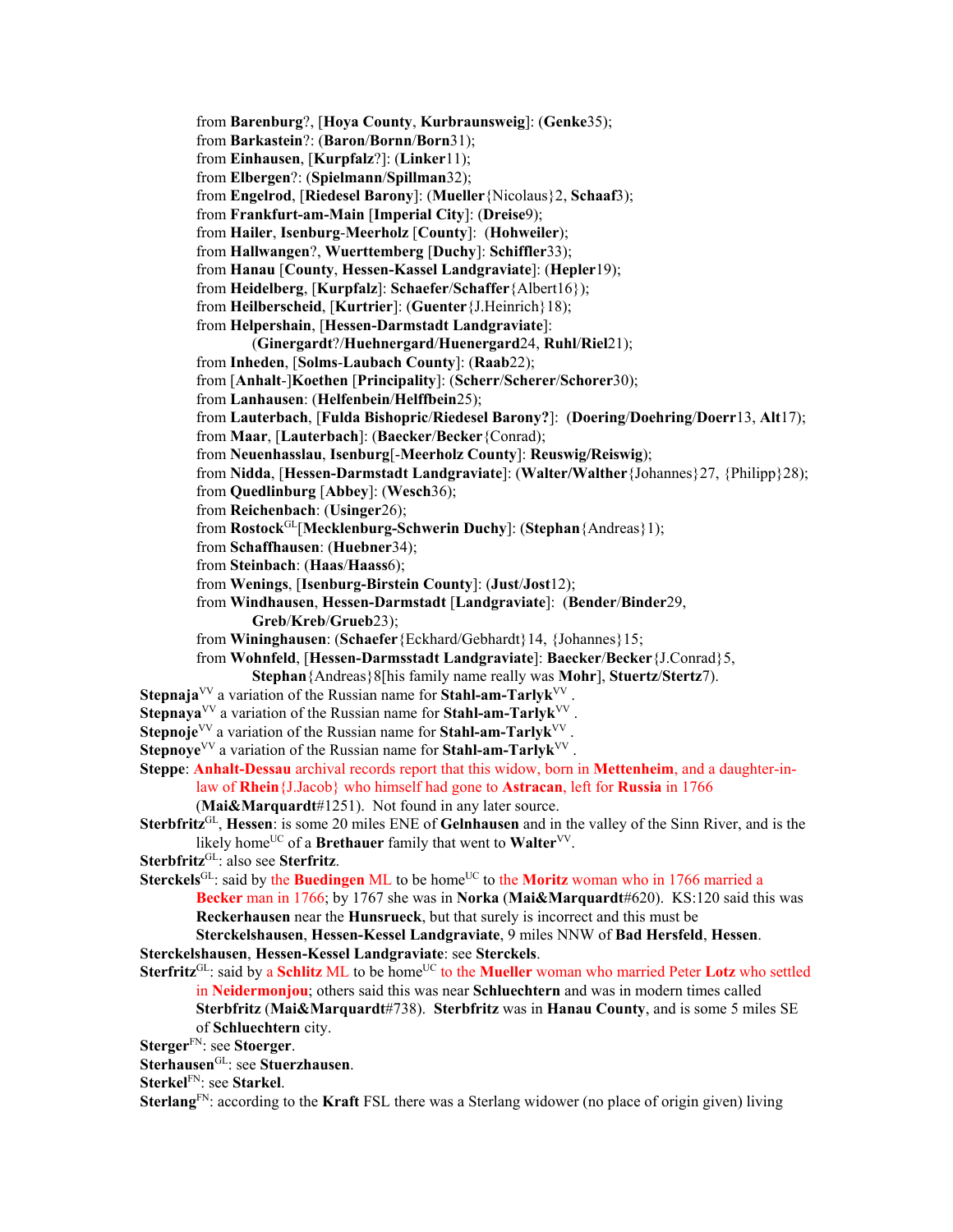from **Barenburg**?, [**Hoya County**, **Kurbraunsweig**]: (**Genke**35); from **Barkastein**?: (**Baron**/**Bornn**/**Born**31); from **Einhausen**, [**Kurpfalz**?]: (**Linker**11); from **Elbergen**?: (**Spielmann**/**Spillman**32); from **Engelrod**, [**Riedesel Barony**]: (**Mueller**{Nicolaus}2, **Schaaf**3); from **Frankfurt-am-Main** [**Imperial City**]: (**Dreise**9); from **Hailer**, **Isenburg**-**Meerholz** [**County**]: (**Hohweiler**); from **Hallwangen**?, **Wuerttemberg** [**Duchy**]: **Schiffler**33); from **Hanau** [**County**, **Hessen-Kassel Landgraviate**]: (**Hepler**19); from **Heidelberg**, [**Kurpfalz**]: **Schaefer**/**Schaffer**{Albert16}); from **Heilberscheid**, [**Kurtrier**]: (**Guenter**{J.Heinrich}18); from **Helpershain**, [**Hessen-Darmstadt Landgraviate**]: (**Ginergardt**?/**Huehnergard**/**Huenergard**24, **Ruhl**/**Riel**21); from **Inheden**, [**Solms**-**Laubach County**]: (**Raab**22); from [**Anhalt**-]**Koethen** [**Principality**]: (**Scherr**/**Scherer**/**Schorer**30); from **Lanhausen**: (**Helfenbein**/**Helffbein**25); from **Lauterbach**, [**Fulda Bishopric**/**Riedesel Barony?**]: (**Doering**/**Doehring**/**Doerr**13, **Alt**17); from **Maar**, [**Lauterbach**]: (**Baecker**/**Becker**{Conrad); from **Neuenhasslau**, **Isenburg**[-**Meerholz County**]: **Reuswig/Reiswig**); from **Nidda**, [**Hessen-Darmstadt Landgraviate**]: (**Walter/Walther**{Johannes}27, {Philipp}28); from **Quedlinburg** [**Abbey**]: (**Wesch**36); from **Reichenbach**: (**Usinger**26); from **Rostock**GL[**Mecklenburg-Schwerin Duchy**]: (**Stephan**{Andreas}1); from **Schaffhausen**: (**Huebner**34); from **Steinbach**: (**Haas**/**Haass**6); from **Wenings**, [**Isenburg-Birstein County**]: (**Just**/**Jost**12); from **Windhausen**, **Hessen-Darmstadt** [**Landgraviate**]: (**Bender**/**Binder**29, **Greb**/**Kreb**/**Grueb**23); from **Wininghausen**: (**Schaefer**{Eckhard/Gebhardt}14, {Johannes}15; from **Wohnfeld**, [**Hessen-Darmsstadt Landgraviate**]: **Baecker**/**Becker**{J.Conrad}5, **Stephan**{Andreas}8[his family name really was **Mohr**], **Stuertz**/**Stertz**7). **Stepnaja**<sup>VV</sup> a variation of the Russian name for **Stahl-am-Tarlyk**<sup>VV</sup>. **Stepnaya**<sup>VV</sup> a variation of the Russian name for **Stahl-am-Tarlyk**<sup>VV</sup>. **Stepnoje**<sup>VV</sup> a variation of the Russian name for **Stahl-am-Tarlyk**<sup>VV</sup> **Stepnoye**<sup>VV</sup> a variation of the Russian name for **Stahl-am-Tarlyk**<sup>VV</sup>. **Steppe**: **Anhalt-Dessau** archival records report that this widow, born in **Mettenheim**, and a daughter-inlaw of **Rhein**{J.Jacob} who himself had gone to **Astracan**, left for **Russia** in 1766 (**Mai&Marquardt**#1251). Not found in any later source. **Sterbfritz**GL, **Hessen**: is some 20 miles ENE of **Gelnhausen** and in the valley of the Sinn River, and is the likely home<sup>UC</sup> of a **Brethauer** family that went to **Walter**<sup>VV</sup>. **Sterbfritz**GL: also see **Sterfritz**. **Sterckels**<sup>GL</sup>: said by the **Buedingen** ML to be home<sup>UC</sup> to the **Moritz** woman who in 1766 married a **Becker** man in 1766; by 1767 she was in **Norka** (**Mai&Marquardt**#620). KS:120 said this was **Reckerhausen** near the **Hunsrueck**, but that surely is incorrect and this must be **Sterckelshausen**, **Hessen-Kessel Landgraviate**, 9 miles NNW of **Bad Hersfeld**, **Hessen**. **Sterckelshausen**, **Hessen-Kessel Landgraviate**: see **Sterckels**. Sterfritz<sup>GL</sup>: said by a Schlitz ML to be home<sup>UC</sup> to the Mueller woman who married Peter Lotz who settled in **Neidermonjou**; others said this was near **Schluechtern** and was in modern times called **Sterbfritz** (**Mai&Marquardt**#738). **Sterbfritz** was in **Hanau County**, and is some 5 miles SE of **Schluechtern** city. **Sterger**FN: see **Stoerger**. **Sterhausen**GL: see **Stuerzhausen**. **Sterkel**FN: see **Starkel**. **Sterlang**FN: according to the **Kraft** FSL there was a Sterlang widower (no place of origin given) living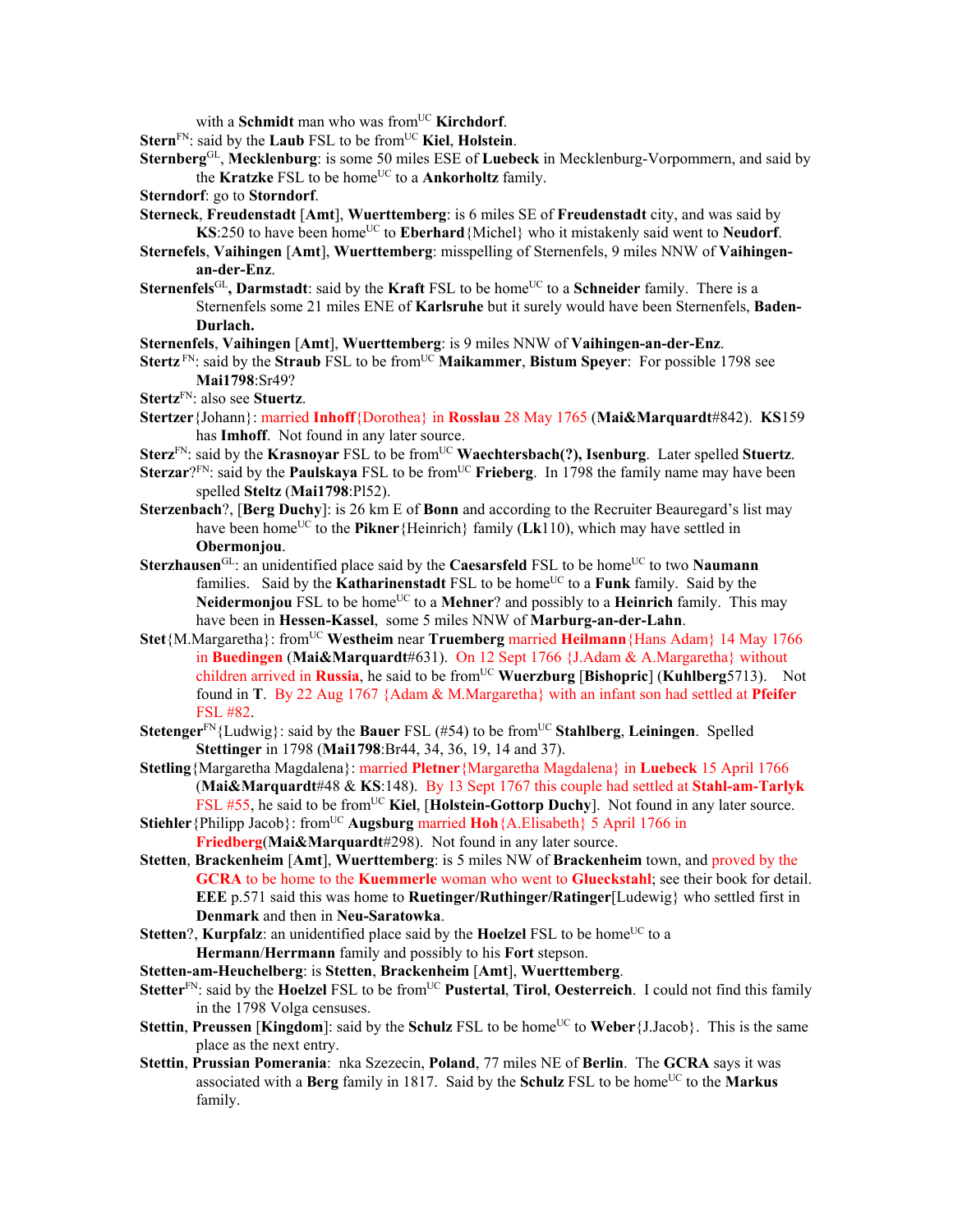with a **Schmidt** man who was from<sup>UC</sup> **Kirchdorf**.

**Stern**FN: said by the **Laub** FSL to be fromUC **Kiel**, **Holstein**.

- **Sternberg**GL, **Mecklenburg**: is some 50 miles ESE of **Luebeck** in Mecklenburg-Vorpommern, and said by the **Kratzke** FSL to be home<sup>UC</sup> to a **Ankorholtz** family.
- **Sterndorf**: go to **Storndorf**.

**Sterneck**, **Freudenstadt** [**Amt**], **Wuerttemberg**: is 6 miles SE of **Freudenstadt** city, and was said by **KS**:250 to have been home<sup>UC</sup> to **Eberhard**{Michel} who it mistakenly said went to **Neudorf**.

- **Sternefels**, **Vaihingen** [**Amt**], **Wuerttemberg**: misspelling of Sternenfels, 9 miles NNW of **Vaihingenan-der-Enz**.
- **Sternenfels**<sup>GL</sup>, **Darmstadt**: said by the **Kraft** FSL to be home<sup>UC</sup> to a **Schneider** family. There is a Sternenfels some 21 miles ENE of **Karlsruhe** but it surely would have been Sternenfels, **Baden-Durlach.**

**Sternenfels**, **Vaihingen** [**Amt**], **Wuerttemberg**: is 9 miles NNW of **Vaihingen-an-der-Enz**.

**Stertz** FN: said by the **Straub** FSL to be from<sup>UC</sup> Maikammer, Bistum Speyer: For possible 1798 see **Mai1798**:Sr49?

**Stertz**FN: also see **Stuertz**.

- **Stertzer**{Johann}: married **Inhoff**{Dorothea} in **Rosslau** 28 May 1765 (**Mai&Marquardt**#842). **KS**159 has **Imhoff**. Not found in any later source.
- Sterz<sup>FN</sup>: said by the **Krasnoyar** FSL to be from<sup>UC</sup> Waechtersbach(?), Isenburg. Later spelled Stuertz.
- **Sterzar**?FN: said by the **Paulskaya** FSL to be from<sup>UC</sup> **Frieberg**. In 1798 the family name may have been spelled **Steltz** (**Mai1798**:Pl52).
- **Sterzenbach**?, [**Berg Duchy**]: is 26 km E of **Bonn** and according to the Recruiter Beauregard's list may have been home<sup>UC</sup> to the **Pikner**{Heinrich} family (**Lk**110), which may have settled in **Obermonjou**.
- Sterzhausen<sup>GL</sup>: an unidentified place said by the **Caesarsfeld** FSL to be home<sup>UC</sup> to two **Naumann** families. Said by the **Katharinenstadt** FSL to be home<sup>UC</sup> to a **Funk** family. Said by the **Neidermonjou** FSL to be home<sup>UC</sup> to a **Mehner**? and possibly to a **Heinrich** family. This may have been in **Hessen-Kassel**, some 5 miles NNW of **Marburg-an-der-Lahn**.
- **Stet**{M.Margaretha}: from<sup>UC</sup> Westheim near **Truemberg** married **Heilmann**{Hans Adam} 14 May 1766 in **Buedingen** (**Mai&Marquardt**#631). On 12 Sept 1766 {J.Adam & A.Margaretha} without children arrived in **Russia**, he said to be from<sup>UC</sup> Wuerzburg [Bishopric] (Kuhlberg5713). Not found in **T**. By 22 Aug 1767 {Adam & M.Margaretha} with an infant son had settled at **Pfeifer** FSL #82.
- **Stetenger**FN{Ludwig}: said by the **Bauer** FSL (#54) to be fromUC **Stahlberg**, **Leiningen**. Spelled **Stettinger** in 1798 (**Mai1798**:Br44, 34, 36, 19, 14 and 37).
- **Stetling**{Margaretha Magdalena}: married **Pletner**{Margaretha Magdalena} in **Luebeck** 15 April 1766 (**Mai&Marquardt**#48 & **KS**:148). By 13 Sept 1767 this couple had settled at **Stahl-am-Tarlyk** FSL #55, he said to be from<sup>UC</sup> Kiel, [Holstein-Gottorp Duchy]. Not found in any later source.
- **Stiehler** {Philipp Jacob}: from<sup>UC</sup> **Augsburg** married **Hoh** {A.Elisabeth} 5 April 1766 in **Friedberg**(**Mai&Marquardt**#298). Not found in any later source.
- **Stetten**, **Brackenheim** [**Amt**], **Wuerttemberg**: is 5 miles NW of **Brackenheim** town, and proved by the **GCRA** to be home to the **Kuemmerle** woman who went to **Glueckstahl**; see their book for detail. **EEE** p.571 said this was home to **Ruetinger/Ruthinger/Ratinger**[Ludewig} who settled first in **Denmark** and then in **Neu-Saratowka**.
- **Stetten**?, **Kurpfalz**: an unidentified place said by the **Hoelzel** FSL to be home<sup>UC</sup> to a **Hermann**/**Herrmann** family and possibly to his **Fort** stepson.
- **Stetten-am-Heuchelberg**: is **Stetten**, **Brackenheim** [**Amt**], **Wuerttemberg**.
- **Stetter**FN: said by the **Hoelzel** FSL to be fromUC **Pustertal**, **Tirol**, **Oesterreich**. I could not find this family in the 1798 Volga censuses.
- **Stettin, Preussen** [**Kingdom**]: said by the **Schulz** FSL to be home<sup>UC</sup> to **Weber**{J.Jacob}. This is the same place as the next entry.
- **Stettin**, **Prussian Pomerania**: nka Szezecin, **Poland**, 77 miles NE of **Berlin**. The **GCRA** says it was associated with a **Berg** family in 1817. Said by the **Schulz** FSL to be home<sup>UC</sup> to the **Markus** family.